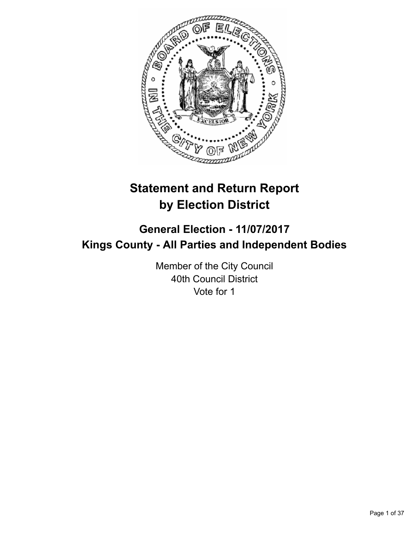

# **Statement and Return Report by Election District**

# **General Election - 11/07/2017 Kings County - All Parties and Independent Bodies**

Member of the City Council 40th Council District Vote for 1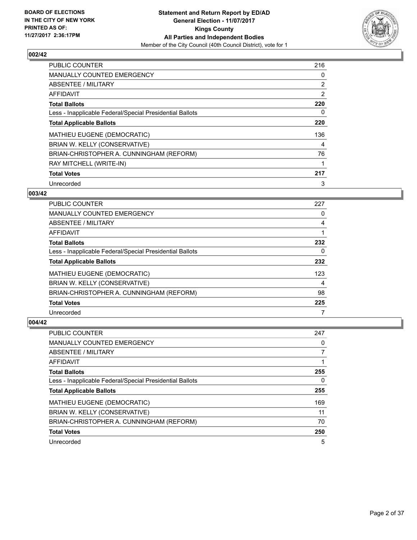

| <b>PUBLIC COUNTER</b>                                    | 216 |
|----------------------------------------------------------|-----|
| MANUALLY COUNTED EMERGENCY                               | 0   |
| ABSENTEE / MILITARY                                      | 2   |
| <b>AFFIDAVIT</b>                                         | 2   |
| <b>Total Ballots</b>                                     | 220 |
| Less - Inapplicable Federal/Special Presidential Ballots | 0   |
| <b>Total Applicable Ballots</b>                          | 220 |
| <b>MATHIEU EUGENE (DEMOCRATIC)</b>                       | 136 |
| BRIAN W. KELLY (CONSERVATIVE)                            | 4   |
| BRIAN-CHRISTOPHER A. CUNNINGHAM (REFORM)                 | 76  |
| RAY MITCHELL (WRITE-IN)                                  | 1   |
| <b>Total Votes</b>                                       | 217 |
| Unrecorded                                               | 3   |

#### **003/42**

| PUBLIC COUNTER                                           | 227 |
|----------------------------------------------------------|-----|
| <b>MANUALLY COUNTED EMERGENCY</b>                        | 0   |
| ABSENTEE / MILITARY                                      | 4   |
| AFFIDAVIT                                                |     |
| <b>Total Ballots</b>                                     | 232 |
| Less - Inapplicable Federal/Special Presidential Ballots | 0   |
| <b>Total Applicable Ballots</b>                          | 232 |
| MATHIEU EUGENE (DEMOCRATIC)                              | 123 |
| BRIAN W. KELLY (CONSERVATIVE)                            | 4   |
| BRIAN-CHRISTOPHER A. CUNNINGHAM (REFORM)                 | 98  |
| <b>Total Votes</b>                                       | 225 |
| Unrecorded                                               |     |

| PUBLIC COUNTER                                           | 247 |
|----------------------------------------------------------|-----|
| <b>MANUALLY COUNTED EMERGENCY</b>                        | 0   |
| ABSENTEE / MILITARY                                      |     |
| AFFIDAVIT                                                |     |
| <b>Total Ballots</b>                                     | 255 |
| Less - Inapplicable Federal/Special Presidential Ballots | 0   |
| <b>Total Applicable Ballots</b>                          | 255 |
| MATHIEU EUGENE (DEMOCRATIC)                              | 169 |
| BRIAN W. KELLY (CONSERVATIVE)                            | 11  |
| BRIAN-CHRISTOPHER A. CUNNINGHAM (REFORM)                 | 70  |
| <b>Total Votes</b>                                       | 250 |
| Unrecorded                                               | 5   |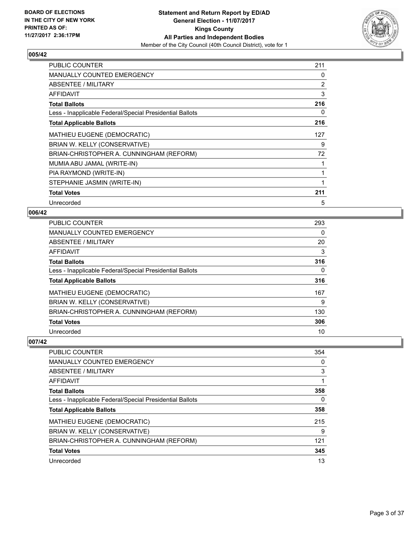

| <b>PUBLIC COUNTER</b>                                    | 211 |
|----------------------------------------------------------|-----|
| MANUALLY COUNTED EMERGENCY                               | 0   |
| <b>ABSENTEE / MILITARY</b>                               | 2   |
| <b>AFFIDAVIT</b>                                         | 3   |
| <b>Total Ballots</b>                                     | 216 |
| Less - Inapplicable Federal/Special Presidential Ballots | 0   |
| <b>Total Applicable Ballots</b>                          | 216 |
| MATHIEU EUGENE (DEMOCRATIC)                              | 127 |
| BRIAN W. KELLY (CONSERVATIVE)                            | 9   |
| BRIAN-CHRISTOPHER A. CUNNINGHAM (REFORM)                 | 72  |
| MUMIA ABU JAMAL (WRITE-IN)                               | 1   |
| PIA RAYMOND (WRITE-IN)                                   | 1   |
| STEPHANIE JASMIN (WRITE-IN)                              | 1   |
| <b>Total Votes</b>                                       | 211 |
| Unrecorded                                               | 5   |

# **006/42**

| <b>PUBLIC COUNTER</b>                                    | 293 |
|----------------------------------------------------------|-----|
| <b>MANUALLY COUNTED EMERGENCY</b>                        | 0   |
| ABSENTEE / MILITARY                                      | 20  |
| AFFIDAVIT                                                | 3   |
| <b>Total Ballots</b>                                     | 316 |
| Less - Inapplicable Federal/Special Presidential Ballots | 0   |
| <b>Total Applicable Ballots</b>                          | 316 |
| MATHIEU EUGENE (DEMOCRATIC)                              | 167 |
| BRIAN W. KELLY (CONSERVATIVE)                            | 9   |
| BRIAN-CHRISTOPHER A. CUNNINGHAM (REFORM)                 | 130 |
| <b>Total Votes</b>                                       | 306 |
| Unrecorded                                               | 10  |

| PUBLIC COUNTER                                           | 354 |
|----------------------------------------------------------|-----|
| <b>MANUALLY COUNTED EMERGENCY</b>                        | 0   |
| ABSENTEE / MILITARY                                      | 3   |
| AFFIDAVIT                                                |     |
| <b>Total Ballots</b>                                     | 358 |
| Less - Inapplicable Federal/Special Presidential Ballots | 0   |
| <b>Total Applicable Ballots</b>                          | 358 |
| MATHIEU EUGENE (DEMOCRATIC)                              | 215 |
| BRIAN W. KELLY (CONSERVATIVE)                            | 9   |
| BRIAN-CHRISTOPHER A. CUNNINGHAM (REFORM)                 | 121 |
| <b>Total Votes</b>                                       | 345 |
| Unrecorded                                               | 13  |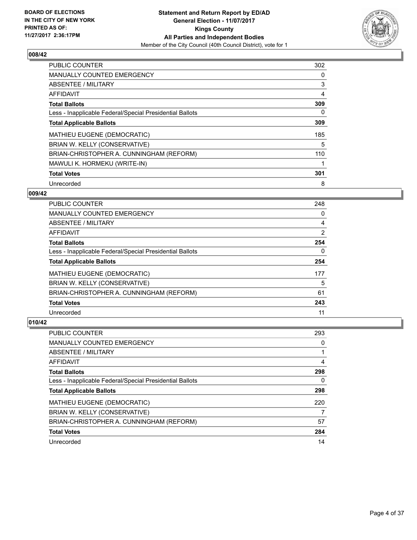

| <b>PUBLIC COUNTER</b>                                    | 302 |
|----------------------------------------------------------|-----|
| <b>MANUALLY COUNTED EMERGENCY</b>                        | 0   |
| ABSENTEE / MILITARY                                      | 3   |
| <b>AFFIDAVIT</b>                                         | 4   |
| <b>Total Ballots</b>                                     | 309 |
| Less - Inapplicable Federal/Special Presidential Ballots | 0   |
| <b>Total Applicable Ballots</b>                          | 309 |
| MATHIEU EUGENE (DEMOCRATIC)                              | 185 |
| BRIAN W. KELLY (CONSERVATIVE)                            | 5   |
| BRIAN-CHRISTOPHER A. CUNNINGHAM (REFORM)                 | 110 |
| MAWULI K. HORMEKU (WRITE-IN)                             |     |
| <b>Total Votes</b>                                       | 301 |
| Unrecorded                                               | 8   |

## **009/42**

| <b>PUBLIC COUNTER</b>                                    | 248 |
|----------------------------------------------------------|-----|
| <b>MANUALLY COUNTED EMERGENCY</b>                        | 0   |
| ABSENTEE / MILITARY                                      | 4   |
| <b>AFFIDAVIT</b>                                         | 2   |
| <b>Total Ballots</b>                                     | 254 |
| Less - Inapplicable Federal/Special Presidential Ballots | 0   |
| <b>Total Applicable Ballots</b>                          | 254 |
| <b>MATHIEU EUGENE (DEMOCRATIC)</b>                       | 177 |
| BRIAN W. KELLY (CONSERVATIVE)                            | 5   |
| BRIAN-CHRISTOPHER A. CUNNINGHAM (REFORM)                 | 61  |
| <b>Total Votes</b>                                       | 243 |
| Unrecorded                                               | 11  |

| <b>PUBLIC COUNTER</b>                                    | 293 |
|----------------------------------------------------------|-----|
| <b>MANUALLY COUNTED EMERGENCY</b>                        | 0   |
| ABSENTEE / MILITARY                                      |     |
| AFFIDAVIT                                                | 4   |
| <b>Total Ballots</b>                                     | 298 |
| Less - Inapplicable Federal/Special Presidential Ballots | 0   |
| <b>Total Applicable Ballots</b>                          | 298 |
| <b>MATHIEU EUGENE (DEMOCRATIC)</b>                       | 220 |
| BRIAN W. KELLY (CONSERVATIVE)                            |     |
| BRIAN-CHRISTOPHER A. CUNNINGHAM (REFORM)                 | 57  |
| <b>Total Votes</b>                                       | 284 |
| Unrecorded                                               | 14  |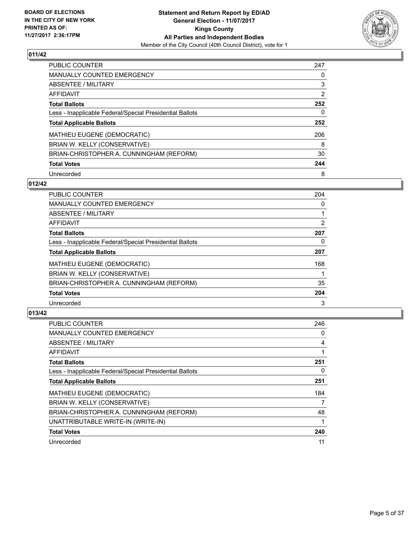

| <b>PUBLIC COUNTER</b>                                    | 247 |
|----------------------------------------------------------|-----|
| <b>MANUALLY COUNTED EMERGENCY</b>                        | 0   |
| ABSENTEE / MILITARY                                      | 3   |
| AFFIDAVIT                                                | 2   |
| <b>Total Ballots</b>                                     | 252 |
| Less - Inapplicable Federal/Special Presidential Ballots | 0   |
| <b>Total Applicable Ballots</b>                          | 252 |
| MATHIEU EUGENE (DEMOCRATIC)                              | 206 |
| BRIAN W. KELLY (CONSERVATIVE)                            | 8   |
| BRIAN-CHRISTOPHER A. CUNNINGHAM (REFORM)                 | 30  |
| <b>Total Votes</b>                                       | 244 |
| Unrecorded                                               | 8   |

#### **012/42**

| <b>PUBLIC COUNTER</b>                                    | 204            |
|----------------------------------------------------------|----------------|
| <b>MANUALLY COUNTED EMERGENCY</b>                        | 0              |
| ABSENTEE / MILITARY                                      |                |
| AFFIDAVIT                                                | $\overline{2}$ |
| <b>Total Ballots</b>                                     | 207            |
| Less - Inapplicable Federal/Special Presidential Ballots | 0              |
| <b>Total Applicable Ballots</b>                          | 207            |
| MATHIEU EUGENE (DEMOCRATIC)                              | 168            |
| BRIAN W. KELLY (CONSERVATIVE)                            |                |
| BRIAN-CHRISTOPHER A. CUNNINGHAM (REFORM)                 | 35             |
| <b>Total Votes</b>                                       | 204            |
| Unrecorded                                               | 3              |

| <b>PUBLIC COUNTER</b>                                    | 246 |
|----------------------------------------------------------|-----|
| <b>MANUALLY COUNTED EMERGENCY</b>                        | 0   |
| ABSENTEE / MILITARY                                      | 4   |
| AFFIDAVIT                                                |     |
| <b>Total Ballots</b>                                     | 251 |
| Less - Inapplicable Federal/Special Presidential Ballots | 0   |
| <b>Total Applicable Ballots</b>                          | 251 |
| <b>MATHIEU EUGENE (DEMOCRATIC)</b>                       | 184 |
| BRIAN W. KELLY (CONSERVATIVE)                            | 7   |
| BRIAN-CHRISTOPHER A. CUNNINGHAM (REFORM)                 | 48  |
| UNATTRIBUTABLE WRITE-IN (WRITE-IN)                       |     |
| <b>Total Votes</b>                                       | 240 |
| Unrecorded                                               | 11  |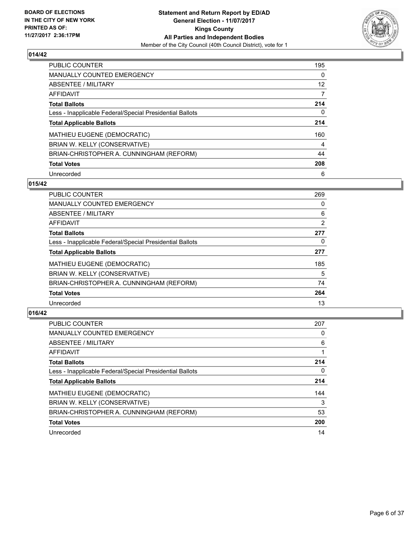

| <b>PUBLIC COUNTER</b>                                    | 195 |
|----------------------------------------------------------|-----|
| <b>MANUALLY COUNTED EMERGENCY</b>                        | 0   |
| ABSENTEE / MILITARY                                      | 12  |
| <b>AFFIDAVIT</b>                                         | 7   |
| <b>Total Ballots</b>                                     | 214 |
| Less - Inapplicable Federal/Special Presidential Ballots | 0   |
| <b>Total Applicable Ballots</b>                          | 214 |
| MATHIEU EUGENE (DEMOCRATIC)                              | 160 |
| BRIAN W. KELLY (CONSERVATIVE)                            | 4   |
| BRIAN-CHRISTOPHER A. CUNNINGHAM (REFORM)                 | 44  |
| <b>Total Votes</b>                                       | 208 |
| Unrecorded                                               | 6   |

#### **015/42**

| <b>PUBLIC COUNTER</b>                                    | 269 |
|----------------------------------------------------------|-----|
| <b>MANUALLY COUNTED EMERGENCY</b>                        | 0   |
| ABSENTEE / MILITARY                                      | 6   |
| <b>AFFIDAVIT</b>                                         | 2   |
| <b>Total Ballots</b>                                     | 277 |
| Less - Inapplicable Federal/Special Presidential Ballots | 0   |
| <b>Total Applicable Ballots</b>                          | 277 |
| MATHIEU EUGENE (DEMOCRATIC)                              | 185 |
| BRIAN W. KELLY (CONSERVATIVE)                            | 5   |
| BRIAN-CHRISTOPHER A. CUNNINGHAM (REFORM)                 | 74  |
| <b>Total Votes</b>                                       | 264 |
| Unrecorded                                               | 13  |

| PUBLIC COUNTER                                           | 207 |
|----------------------------------------------------------|-----|
| <b>MANUALLY COUNTED EMERGENCY</b>                        | 0   |
| ABSENTEE / MILITARY                                      | 6   |
| AFFIDAVIT                                                |     |
| <b>Total Ballots</b>                                     | 214 |
| Less - Inapplicable Federal/Special Presidential Ballots | 0   |
| <b>Total Applicable Ballots</b>                          | 214 |
| MATHIEU EUGENE (DEMOCRATIC)                              | 144 |
| BRIAN W. KELLY (CONSERVATIVE)                            | 3   |
| BRIAN-CHRISTOPHER A. CUNNINGHAM (REFORM)                 | 53  |
| <b>Total Votes</b>                                       | 200 |
| Unrecorded                                               | 14  |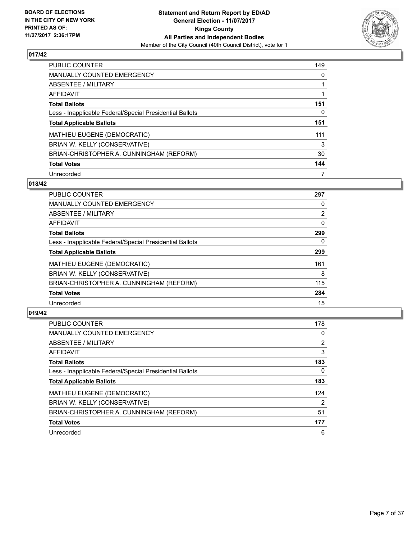

| <b>PUBLIC COUNTER</b>                                    | 149 |
|----------------------------------------------------------|-----|
| MANUALLY COUNTED EMERGENCY                               | 0   |
| ABSENTEE / MILITARY                                      |     |
| <b>AFFIDAVIT</b>                                         |     |
| <b>Total Ballots</b>                                     | 151 |
| Less - Inapplicable Federal/Special Presidential Ballots | 0   |
| <b>Total Applicable Ballots</b>                          | 151 |
| MATHIEU EUGENE (DEMOCRATIC)                              | 111 |
| BRIAN W. KELLY (CONSERVATIVE)                            | 3   |
| BRIAN-CHRISTOPHER A. CUNNINGHAM (REFORM)                 | 30  |
| <b>Total Votes</b>                                       | 144 |
| Unrecorded                                               | 7   |

#### **018/42**

| <b>PUBLIC COUNTER</b>                                    | 297            |
|----------------------------------------------------------|----------------|
| <b>MANUALLY COUNTED EMERGENCY</b>                        | 0              |
| ABSENTEE / MILITARY                                      | $\overline{2}$ |
| <b>AFFIDAVIT</b>                                         | 0              |
| <b>Total Ballots</b>                                     | 299            |
| Less - Inapplicable Federal/Special Presidential Ballots | $\Omega$       |
| <b>Total Applicable Ballots</b>                          | 299            |
| <b>MATHIEU EUGENE (DEMOCRATIC)</b>                       | 161            |
| BRIAN W. KELLY (CONSERVATIVE)                            | 8              |
| BRIAN-CHRISTOPHER A. CUNNINGHAM (REFORM)                 | 115            |
| <b>Total Votes</b>                                       | 284            |
| Unrecorded                                               | 15             |

| <b>PUBLIC COUNTER</b>                                    | 178 |
|----------------------------------------------------------|-----|
| <b>MANUALLY COUNTED EMERGENCY</b>                        | 0   |
| ABSENTEE / MILITARY                                      | 2   |
| AFFIDAVIT                                                | 3   |
| <b>Total Ballots</b>                                     | 183 |
| Less - Inapplicable Federal/Special Presidential Ballots | 0   |
| <b>Total Applicable Ballots</b>                          | 183 |
| MATHIEU EUGENE (DEMOCRATIC)                              | 124 |
| BRIAN W. KELLY (CONSERVATIVE)                            | 2   |
| BRIAN-CHRISTOPHER A. CUNNINGHAM (REFORM)                 | 51  |
| <b>Total Votes</b>                                       | 177 |
| Unrecorded                                               | 6   |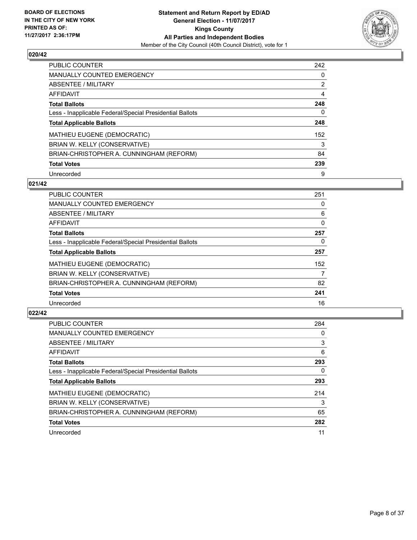

| <b>PUBLIC COUNTER</b>                                    | 242 |
|----------------------------------------------------------|-----|
| MANUALLY COUNTED EMERGENCY                               | 0   |
| ABSENTEE / MILITARY                                      | 2   |
| AFFIDAVIT                                                | 4   |
| <b>Total Ballots</b>                                     | 248 |
| Less - Inapplicable Federal/Special Presidential Ballots | 0   |
| <b>Total Applicable Ballots</b>                          | 248 |
| MATHIEU EUGENE (DEMOCRATIC)                              | 152 |
| BRIAN W. KELLY (CONSERVATIVE)                            | 3   |
| BRIAN-CHRISTOPHER A. CUNNINGHAM (REFORM)                 | 84  |
| <b>Total Votes</b>                                       | 239 |
| Unrecorded                                               | 9   |

#### **021/42**

| <b>PUBLIC COUNTER</b>                                    | 251 |
|----------------------------------------------------------|-----|
| <b>MANUALLY COUNTED EMERGENCY</b>                        | 0   |
| ABSENTEE / MILITARY                                      | 6   |
| <b>AFFIDAVIT</b>                                         | 0   |
| <b>Total Ballots</b>                                     | 257 |
| Less - Inapplicable Federal/Special Presidential Ballots | 0   |
| <b>Total Applicable Ballots</b>                          | 257 |
| <b>MATHIEU EUGENE (DEMOCRATIC)</b>                       | 152 |
| BRIAN W. KELLY (CONSERVATIVE)                            | 7   |
| BRIAN-CHRISTOPHER A. CUNNINGHAM (REFORM)                 | 82  |
| <b>Total Votes</b>                                       | 241 |
| Unrecorded                                               | 16  |

| <b>PUBLIC COUNTER</b>                                    | 284 |
|----------------------------------------------------------|-----|
| <b>MANUALLY COUNTED EMERGENCY</b>                        | 0   |
| ABSENTEE / MILITARY                                      | 3   |
| <b>AFFIDAVIT</b>                                         | 6   |
| <b>Total Ballots</b>                                     | 293 |
| Less - Inapplicable Federal/Special Presidential Ballots | 0   |
| <b>Total Applicable Ballots</b>                          | 293 |
| <b>MATHIEU EUGENE (DEMOCRATIC)</b>                       | 214 |
| BRIAN W. KELLY (CONSERVATIVE)                            | 3   |
| BRIAN-CHRISTOPHER A. CUNNINGHAM (REFORM)                 | 65  |
| <b>Total Votes</b>                                       | 282 |
| Unrecorded                                               | 11  |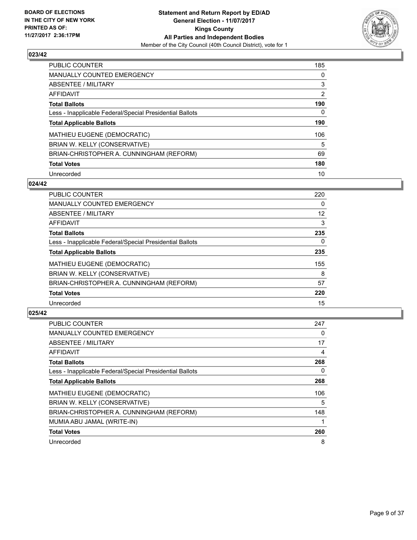

| <b>PUBLIC COUNTER</b>                                    | 185 |
|----------------------------------------------------------|-----|
| <b>MANUALLY COUNTED EMERGENCY</b>                        | 0   |
| ABSENTEE / MILITARY                                      | 3   |
| AFFIDAVIT                                                | 2   |
| <b>Total Ballots</b>                                     | 190 |
| Less - Inapplicable Federal/Special Presidential Ballots | 0   |
| <b>Total Applicable Ballots</b>                          | 190 |
| MATHIEU EUGENE (DEMOCRATIC)                              | 106 |
| BRIAN W. KELLY (CONSERVATIVE)                            | 5   |
| BRIAN-CHRISTOPHER A. CUNNINGHAM (REFORM)                 | 69  |
| <b>Total Votes</b>                                       | 180 |
| Unrecorded                                               | 10  |

#### **024/42**

| <b>PUBLIC COUNTER</b>                                    | 220 |
|----------------------------------------------------------|-----|
| <b>MANUALLY COUNTED EMERGENCY</b>                        | 0   |
| ABSENTEE / MILITARY                                      | 12  |
| <b>AFFIDAVIT</b>                                         | 3   |
| <b>Total Ballots</b>                                     | 235 |
| Less - Inapplicable Federal/Special Presidential Ballots | 0   |
| <b>Total Applicable Ballots</b>                          | 235 |
| MATHIEU EUGENE (DEMOCRATIC)                              | 155 |
| BRIAN W. KELLY (CONSERVATIVE)                            | 8   |
| BRIAN-CHRISTOPHER A. CUNNINGHAM (REFORM)                 | 57  |
| <b>Total Votes</b>                                       | 220 |
| Unrecorded                                               | 15  |

| <b>PUBLIC COUNTER</b>                                    | 247 |
|----------------------------------------------------------|-----|
| <b>MANUALLY COUNTED EMERGENCY</b>                        | 0   |
| ABSENTEE / MILITARY                                      | 17  |
| AFFIDAVIT                                                | 4   |
| <b>Total Ballots</b>                                     | 268 |
| Less - Inapplicable Federal/Special Presidential Ballots | 0   |
| <b>Total Applicable Ballots</b>                          | 268 |
| <b>MATHIEU EUGENE (DEMOCRATIC)</b>                       | 106 |
| BRIAN W. KELLY (CONSERVATIVE)                            | 5   |
| BRIAN-CHRISTOPHER A. CUNNINGHAM (REFORM)                 | 148 |
| MUMIA ABU JAMAL (WRITE-IN)                               |     |
| <b>Total Votes</b>                                       | 260 |
| Unrecorded                                               | 8   |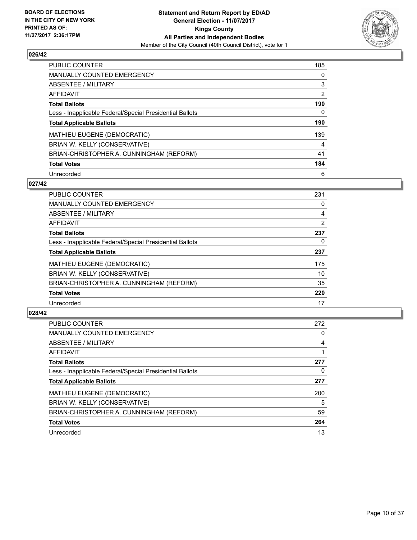

| <b>PUBLIC COUNTER</b>                                    | 185 |
|----------------------------------------------------------|-----|
| <b>MANUALLY COUNTED EMERGENCY</b>                        | 0   |
| ABSENTEE / MILITARY                                      | 3   |
| AFFIDAVIT                                                | 2   |
| <b>Total Ballots</b>                                     | 190 |
| Less - Inapplicable Federal/Special Presidential Ballots | 0   |
| <b>Total Applicable Ballots</b>                          | 190 |
| MATHIEU EUGENE (DEMOCRATIC)                              | 139 |
| BRIAN W. KELLY (CONSERVATIVE)                            | 4   |
| BRIAN-CHRISTOPHER A. CUNNINGHAM (REFORM)                 | 41  |
|                                                          |     |
| <b>Total Votes</b>                                       | 184 |

#### **027/42**

| <b>PUBLIC COUNTER</b>                                    | 231            |
|----------------------------------------------------------|----------------|
| <b>MANUALLY COUNTED EMERGENCY</b>                        | 0              |
| ABSENTEE / MILITARY                                      | 4              |
| <b>AFFIDAVIT</b>                                         | $\overline{2}$ |
| <b>Total Ballots</b>                                     | 237            |
| Less - Inapplicable Federal/Special Presidential Ballots | 0              |
| <b>Total Applicable Ballots</b>                          | 237            |
| <b>MATHIEU EUGENE (DEMOCRATIC)</b>                       | 175            |
| BRIAN W. KELLY (CONSERVATIVE)                            | 10             |
| BRIAN-CHRISTOPHER A. CUNNINGHAM (REFORM)                 | 35             |
| <b>Total Votes</b>                                       | 220            |
| Unrecorded                                               | 17             |

| <b>PUBLIC COUNTER</b>                                    | 272 |
|----------------------------------------------------------|-----|
| <b>MANUALLY COUNTED EMERGENCY</b>                        | 0   |
| ABSENTEE / MILITARY                                      | 4   |
| <b>AFFIDAVIT</b>                                         |     |
| <b>Total Ballots</b>                                     | 277 |
| Less - Inapplicable Federal/Special Presidential Ballots | 0   |
| <b>Total Applicable Ballots</b>                          | 277 |
| <b>MATHIEU EUGENE (DEMOCRATIC)</b>                       | 200 |
| BRIAN W. KELLY (CONSERVATIVE)                            | 5   |
| BRIAN-CHRISTOPHER A. CUNNINGHAM (REFORM)                 | 59  |
| <b>Total Votes</b>                                       | 264 |
| Unrecorded                                               | 13  |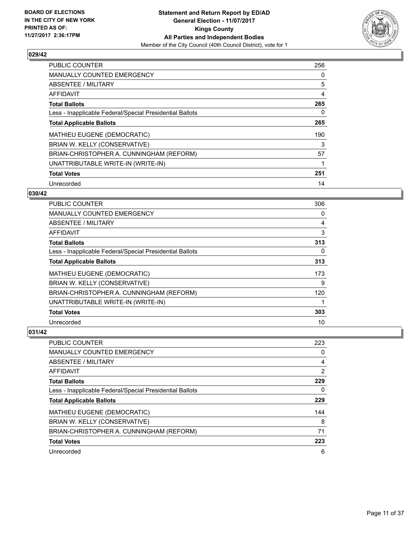

| <b>PUBLIC COUNTER</b>                                    | 256 |
|----------------------------------------------------------|-----|
| <b>MANUALLY COUNTED EMERGENCY</b>                        | 0   |
| ABSENTEE / MILITARY                                      | 5   |
| <b>AFFIDAVIT</b>                                         | 4   |
| <b>Total Ballots</b>                                     | 265 |
| Less - Inapplicable Federal/Special Presidential Ballots | 0   |
| <b>Total Applicable Ballots</b>                          | 265 |
| <b>MATHIEU EUGENE (DEMOCRATIC)</b>                       | 190 |
| BRIAN W. KELLY (CONSERVATIVE)                            | 3   |
| BRIAN-CHRISTOPHER A. CUNNINGHAM (REFORM)                 | 57  |
| UNATTRIBUTABLE WRITE-IN (WRITE-IN)                       | 1   |
| <b>Total Votes</b>                                       | 251 |
| Unrecorded                                               | 14  |

#### **030/42**

| <b>PUBLIC COUNTER</b>                                    | 306 |
|----------------------------------------------------------|-----|
| <b>MANUALLY COUNTED EMERGENCY</b>                        | 0   |
| ABSENTEE / MILITARY                                      | 4   |
| AFFIDAVIT                                                | 3   |
| <b>Total Ballots</b>                                     | 313 |
| Less - Inapplicable Federal/Special Presidential Ballots | 0   |
| <b>Total Applicable Ballots</b>                          | 313 |
| <b>MATHIEU EUGENE (DEMOCRATIC)</b>                       | 173 |
| BRIAN W. KELLY (CONSERVATIVE)                            | 9   |
| BRIAN-CHRISTOPHER A. CUNNINGHAM (REFORM)                 | 120 |
| UNATTRIBUTABLE WRITE-IN (WRITE-IN)                       |     |
| <b>Total Votes</b>                                       | 303 |
| Unrecorded                                               | 10  |

| <b>PUBLIC COUNTER</b>                                    | 223            |
|----------------------------------------------------------|----------------|
| MANUALLY COUNTED EMERGENCY                               | 0              |
| ABSENTEE / MILITARY                                      | 4              |
| AFFIDAVIT                                                | $\overline{2}$ |
| <b>Total Ballots</b>                                     | 229            |
| Less - Inapplicable Federal/Special Presidential Ballots | 0              |
| <b>Total Applicable Ballots</b>                          | 229            |
| MATHIEU EUGENE (DEMOCRATIC)                              | 144            |
| BRIAN W. KELLY (CONSERVATIVE)                            | 8              |
| BRIAN-CHRISTOPHER A. CUNNINGHAM (REFORM)                 | 71             |
| <b>Total Votes</b>                                       | 223            |
| Unrecorded                                               | 6              |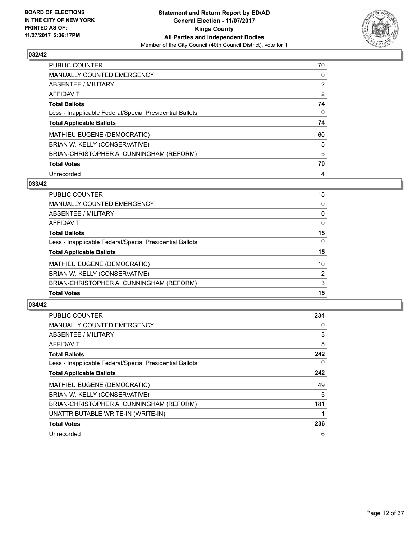

| <b>PUBLIC COUNTER</b>                                    | 70 |
|----------------------------------------------------------|----|
| MANUALLY COUNTED EMERGENCY                               | 0  |
| ABSENTEE / MILITARY                                      | 2  |
| AFFIDAVIT                                                | 2  |
| <b>Total Ballots</b>                                     | 74 |
| Less - Inapplicable Federal/Special Presidential Ballots | 0  |
|                                                          |    |
| <b>Total Applicable Ballots</b>                          | 74 |
| MATHIEU EUGENE (DEMOCRATIC)                              | 60 |
| BRIAN W. KELLY (CONSERVATIVE)                            | 5  |
| BRIAN-CHRISTOPHER A. CUNNINGHAM (REFORM)                 | 5  |
| <b>Total Votes</b>                                       | 70 |

#### **033/42**

| PUBLIC COUNTER                                           | 15       |
|----------------------------------------------------------|----------|
| MANUALLY COUNTED EMERGENCY                               | $\Omega$ |
| <b>ABSENTEE / MILITARY</b>                               | $\Omega$ |
| AFFIDAVIT                                                | $\Omega$ |
| <b>Total Ballots</b>                                     | 15       |
| Less - Inapplicable Federal/Special Presidential Ballots | $\Omega$ |
| <b>Total Applicable Ballots</b>                          | 15       |
| MATHIEU EUGENE (DEMOCRATIC)                              | 10       |
| BRIAN W. KELLY (CONSERVATIVE)                            | 2        |
| BRIAN-CHRISTOPHER A. CUNNINGHAM (REFORM)                 | 3        |
| <b>Total Votes</b>                                       | 15       |

| <b>PUBLIC COUNTER</b>                                    | 234 |
|----------------------------------------------------------|-----|
| <b>MANUALLY COUNTED EMERGENCY</b>                        | 0   |
| ABSENTEE / MILITARY                                      | 3   |
| AFFIDAVIT                                                | 5   |
| <b>Total Ballots</b>                                     | 242 |
| Less - Inapplicable Federal/Special Presidential Ballots | 0   |
| <b>Total Applicable Ballots</b>                          | 242 |
| MATHIEU EUGENE (DEMOCRATIC)                              | 49  |
| BRIAN W. KELLY (CONSERVATIVE)                            | 5   |
| BRIAN-CHRISTOPHER A. CUNNINGHAM (REFORM)                 | 181 |
| UNATTRIBUTABLE WRITE-IN (WRITE-IN)                       |     |
| <b>Total Votes</b>                                       | 236 |
| Unrecorded                                               | 6   |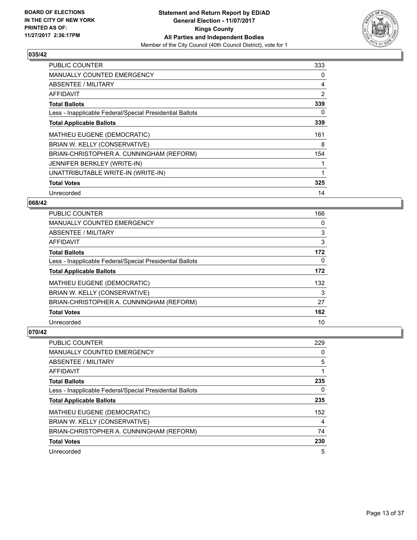

| <b>PUBLIC COUNTER</b>                                    | 333 |
|----------------------------------------------------------|-----|
| <b>MANUALLY COUNTED EMERGENCY</b>                        | 0   |
| ABSENTEE / MILITARY                                      | 4   |
| AFFIDAVIT                                                | 2   |
| <b>Total Ballots</b>                                     | 339 |
| Less - Inapplicable Federal/Special Presidential Ballots | 0   |
| <b>Total Applicable Ballots</b>                          | 339 |
| <b>MATHIEU EUGENE (DEMOCRATIC)</b>                       | 161 |
| BRIAN W. KELLY (CONSERVATIVE)                            | 8   |
| BRIAN-CHRISTOPHER A. CUNNINGHAM (REFORM)                 | 154 |
| JENNIFER BERKLEY (WRITE-IN)                              | 1   |
| UNATTRIBUTABLE WRITE-IN (WRITE-IN)                       | 1   |
| <b>Total Votes</b>                                       | 325 |
| Unrecorded                                               | 14  |

## **068/42**

| PUBLIC COUNTER                                           | 166 |
|----------------------------------------------------------|-----|
| <b>MANUALLY COUNTED EMERGENCY</b>                        | 0   |
| ABSENTEE / MILITARY                                      | 3   |
| <b>AFFIDAVIT</b>                                         | 3   |
| <b>Total Ballots</b>                                     | 172 |
| Less - Inapplicable Federal/Special Presidential Ballots | 0   |
| <b>Total Applicable Ballots</b>                          | 172 |
| <b>MATHIEU EUGENE (DEMOCRATIC)</b>                       | 132 |
| BRIAN W. KELLY (CONSERVATIVE)                            | 3   |
| BRIAN-CHRISTOPHER A. CUNNINGHAM (REFORM)                 | 27  |
| <b>Total Votes</b>                                       | 162 |
| Unrecorded                                               | 10  |

| <b>PUBLIC COUNTER</b>                                    | 229 |
|----------------------------------------------------------|-----|
| MANUALLY COUNTED EMERGENCY                               | 0   |
| ABSENTEE / MILITARY                                      | 5   |
| AFFIDAVIT                                                |     |
| <b>Total Ballots</b>                                     | 235 |
| Less - Inapplicable Federal/Special Presidential Ballots | 0   |
| <b>Total Applicable Ballots</b>                          | 235 |
| MATHIEU EUGENE (DEMOCRATIC)                              | 152 |
| BRIAN W. KELLY (CONSERVATIVE)                            | 4   |
| BRIAN-CHRISTOPHER A. CUNNINGHAM (REFORM)                 | 74  |
| <b>Total Votes</b>                                       | 230 |
| Unrecorded                                               | 5   |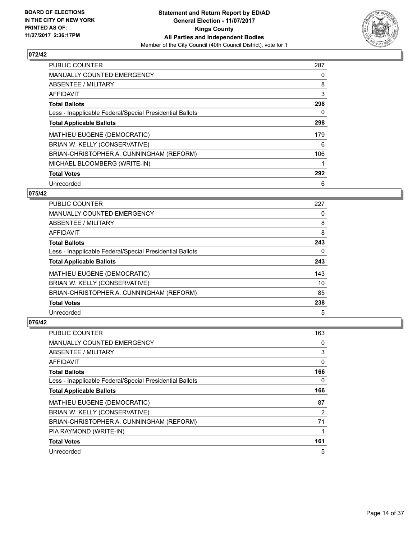

| <b>PUBLIC COUNTER</b>                                    | 287 |
|----------------------------------------------------------|-----|
| <b>MANUALLY COUNTED EMERGENCY</b>                        | 0   |
| ABSENTEE / MILITARY                                      | 8   |
| AFFIDAVIT                                                | 3   |
| <b>Total Ballots</b>                                     | 298 |
| Less - Inapplicable Federal/Special Presidential Ballots | 0   |
| <b>Total Applicable Ballots</b>                          | 298 |
| <b>MATHIEU EUGENE (DEMOCRATIC)</b>                       | 179 |
| BRIAN W. KELLY (CONSERVATIVE)                            | 6   |
| BRIAN-CHRISTOPHER A. CUNNINGHAM (REFORM)                 | 106 |
| MICHAEL BLOOMBERG (WRITE-IN)                             | 1   |
| <b>Total Votes</b>                                       | 292 |
| Unrecorded                                               | 6   |

## **075/42**

| <b>PUBLIC COUNTER</b>                                    | 227 |
|----------------------------------------------------------|-----|
| <b>MANUALLY COUNTED EMERGENCY</b>                        | 0   |
| ABSENTEE / MILITARY                                      | 8   |
| AFFIDAVIT                                                | 8   |
| <b>Total Ballots</b>                                     | 243 |
| Less - Inapplicable Federal/Special Presidential Ballots | 0   |
| <b>Total Applicable Ballots</b>                          | 243 |
| <b>MATHIEU EUGENE (DEMOCRATIC)</b>                       | 143 |
| BRIAN W. KELLY (CONSERVATIVE)                            | 10  |
| BRIAN-CHRISTOPHER A. CUNNINGHAM (REFORM)                 | 85  |
| <b>Total Votes</b>                                       | 238 |
| Unrecorded                                               | 5   |

| <b>PUBLIC COUNTER</b>                                    | 163            |
|----------------------------------------------------------|----------------|
| <b>MANUALLY COUNTED EMERGENCY</b>                        | 0              |
| ABSENTEE / MILITARY                                      | 3              |
| AFFIDAVIT                                                | 0              |
| <b>Total Ballots</b>                                     | 166            |
| Less - Inapplicable Federal/Special Presidential Ballots | 0              |
| <b>Total Applicable Ballots</b>                          | 166            |
| <b>MATHIEU EUGENE (DEMOCRATIC)</b>                       | 87             |
| BRIAN W. KELLY (CONSERVATIVE)                            | $\overline{2}$ |
| BRIAN-CHRISTOPHER A. CUNNINGHAM (REFORM)                 | 71             |
| PIA RAYMOND (WRITE-IN)                                   | 1              |
| <b>Total Votes</b>                                       | 161            |
| Unrecorded                                               | 5              |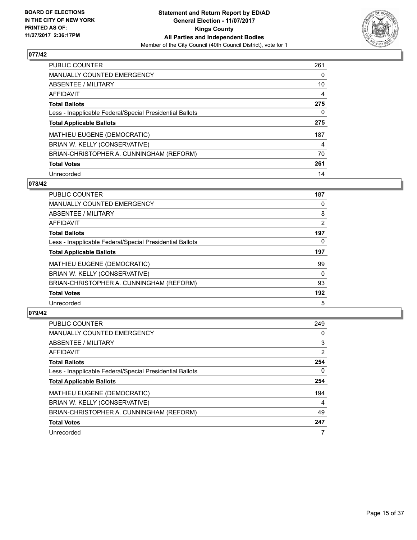

| <b>PUBLIC COUNTER</b>                                    | 261 |
|----------------------------------------------------------|-----|
| MANUALLY COUNTED EMERGENCY                               | 0   |
| ABSENTEE / MILITARY                                      | 10  |
| <b>AFFIDAVIT</b>                                         | 4   |
| <b>Total Ballots</b>                                     | 275 |
| Less - Inapplicable Federal/Special Presidential Ballots | 0   |
| <b>Total Applicable Ballots</b>                          | 275 |
| MATHIEU EUGENE (DEMOCRATIC)                              | 187 |
| BRIAN W. KELLY (CONSERVATIVE)                            | 4   |
| BRIAN-CHRISTOPHER A. CUNNINGHAM (REFORM)                 | 70  |
| <b>Total Votes</b>                                       | 261 |
| Unrecorded                                               | 14  |

#### **078/42**

| <b>PUBLIC COUNTER</b>                                    | 187 |
|----------------------------------------------------------|-----|
| <b>MANUALLY COUNTED EMERGENCY</b>                        | 0   |
| ABSENTEE / MILITARY                                      | 8   |
| AFFIDAVIT                                                | 2   |
| <b>Total Ballots</b>                                     | 197 |
| Less - Inapplicable Federal/Special Presidential Ballots | 0   |
| <b>Total Applicable Ballots</b>                          | 197 |
| MATHIEU EUGENE (DEMOCRATIC)                              | 99  |
| BRIAN W. KELLY (CONSERVATIVE)                            | 0   |
| BRIAN-CHRISTOPHER A. CUNNINGHAM (REFORM)                 | 93  |
| <b>Total Votes</b>                                       | 192 |
| Unrecorded                                               | 5   |

| <b>PUBLIC COUNTER</b>                                    | 249            |
|----------------------------------------------------------|----------------|
| <b>MANUALLY COUNTED EMERGENCY</b>                        | 0              |
| ABSENTEE / MILITARY                                      | 3              |
| <b>AFFIDAVIT</b>                                         | $\overline{2}$ |
| <b>Total Ballots</b>                                     | 254            |
| Less - Inapplicable Federal/Special Presidential Ballots | 0              |
| <b>Total Applicable Ballots</b>                          | 254            |
| <b>MATHIEU EUGENE (DEMOCRATIC)</b>                       | 194            |
| BRIAN W. KELLY (CONSERVATIVE)                            | 4              |
| BRIAN-CHRISTOPHER A. CUNNINGHAM (REFORM)                 | 49             |
| <b>Total Votes</b>                                       | 247            |
| Unrecorded                                               |                |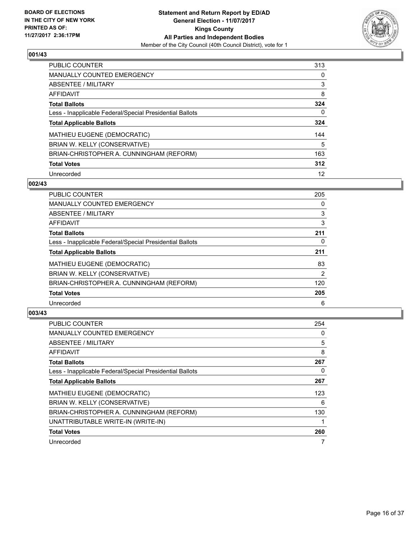

| <b>PUBLIC COUNTER</b>                                    | 313 |
|----------------------------------------------------------|-----|
| <b>MANUALLY COUNTED EMERGENCY</b>                        | 0   |
| ABSENTEE / MILITARY                                      | 3   |
| AFFIDAVIT                                                | 8   |
| <b>Total Ballots</b>                                     | 324 |
| Less - Inapplicable Federal/Special Presidential Ballots | 0   |
| <b>Total Applicable Ballots</b>                          | 324 |
| <b>MATHIEU EUGENE (DEMOCRATIC)</b>                       | 144 |
| BRIAN W. KELLY (CONSERVATIVE)                            | 5   |
| BRIAN-CHRISTOPHER A. CUNNINGHAM (REFORM)                 | 163 |
|                                                          |     |
| <b>Total Votes</b>                                       | 312 |

#### **002/43**

| <b>PUBLIC COUNTER</b>                                    | 205            |
|----------------------------------------------------------|----------------|
| <b>MANUALLY COUNTED EMERGENCY</b>                        | 0              |
| ABSENTEE / MILITARY                                      | 3              |
| <b>AFFIDAVIT</b>                                         | 3              |
| <b>Total Ballots</b>                                     | 211            |
| Less - Inapplicable Federal/Special Presidential Ballots | 0              |
| <b>Total Applicable Ballots</b>                          | 211            |
| <b>MATHIEU EUGENE (DEMOCRATIC)</b>                       | 83             |
| BRIAN W. KELLY (CONSERVATIVE)                            | $\overline{2}$ |
| BRIAN-CHRISTOPHER A. CUNNINGHAM (REFORM)                 | 120            |
| <b>Total Votes</b>                                       | 205            |
| Unrecorded                                               | 6              |

| <b>PUBLIC COUNTER</b>                                    | 254 |
|----------------------------------------------------------|-----|
| <b>MANUALLY COUNTED EMERGENCY</b>                        | 0   |
| ABSENTEE / MILITARY                                      | 5   |
| AFFIDAVIT                                                | 8   |
| <b>Total Ballots</b>                                     | 267 |
| Less - Inapplicable Federal/Special Presidential Ballots | 0   |
| <b>Total Applicable Ballots</b>                          | 267 |
| <b>MATHIEU EUGENE (DEMOCRATIC)</b>                       | 123 |
| BRIAN W. KELLY (CONSERVATIVE)                            | 6   |
| BRIAN-CHRISTOPHER A. CUNNINGHAM (REFORM)                 | 130 |
| UNATTRIBUTABLE WRITE-IN (WRITE-IN)                       |     |
| <b>Total Votes</b>                                       | 260 |
| Unrecorded                                               |     |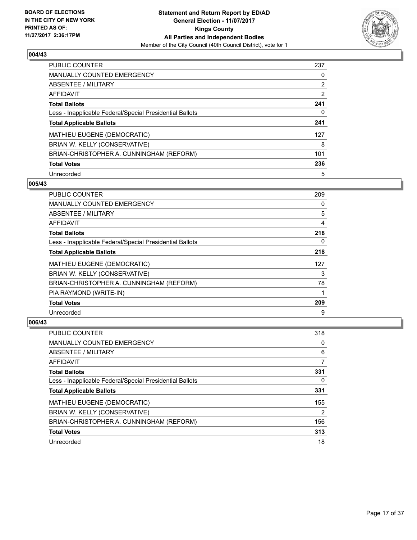

| <b>PUBLIC COUNTER</b>                                    | 237            |
|----------------------------------------------------------|----------------|
| <b>MANUALLY COUNTED EMERGENCY</b>                        | 0              |
| ABSENTEE / MILITARY                                      | 2              |
| <b>AFFIDAVIT</b>                                         | $\overline{2}$ |
| <b>Total Ballots</b>                                     | 241            |
| Less - Inapplicable Federal/Special Presidential Ballots | 0              |
| <b>Total Applicable Ballots</b>                          | 241            |
| MATHIEU EUGENE (DEMOCRATIC)                              | 127            |
| BRIAN W. KELLY (CONSERVATIVE)                            | 8              |
| BRIAN-CHRISTOPHER A. CUNNINGHAM (REFORM)                 | 101            |
| <b>Total Votes</b>                                       | 236            |
| Unrecorded                                               | 5              |

#### **005/43**

| <b>PUBLIC COUNTER</b>                                    | 209 |
|----------------------------------------------------------|-----|
| <b>MANUALLY COUNTED EMERGENCY</b>                        | 0   |
| ABSENTEE / MILITARY                                      | 5   |
| <b>AFFIDAVIT</b>                                         | 4   |
| <b>Total Ballots</b>                                     | 218 |
| Less - Inapplicable Federal/Special Presidential Ballots | 0   |
| <b>Total Applicable Ballots</b>                          | 218 |
| MATHIEU EUGENE (DEMOCRATIC)                              | 127 |
| BRIAN W. KELLY (CONSERVATIVE)                            | 3   |
| BRIAN-CHRISTOPHER A. CUNNINGHAM (REFORM)                 | 78  |
| PIA RAYMOND (WRITE-IN)                                   |     |
| <b>Total Votes</b>                                       | 209 |
| Unrecorded                                               | 9   |

| PUBLIC COUNTER                                           | 318 |
|----------------------------------------------------------|-----|
| <b>MANUALLY COUNTED EMERGENCY</b>                        | 0   |
| ABSENTEE / MILITARY                                      | 6   |
| AFFIDAVIT                                                | 7   |
| <b>Total Ballots</b>                                     | 331 |
| Less - Inapplicable Federal/Special Presidential Ballots | 0   |
| <b>Total Applicable Ballots</b>                          | 331 |
| MATHIEU EUGENE (DEMOCRATIC)                              | 155 |
| BRIAN W. KELLY (CONSERVATIVE)                            | 2   |
| BRIAN-CHRISTOPHER A. CUNNINGHAM (REFORM)                 | 156 |
| <b>Total Votes</b>                                       | 313 |
| Unrecorded                                               | 18  |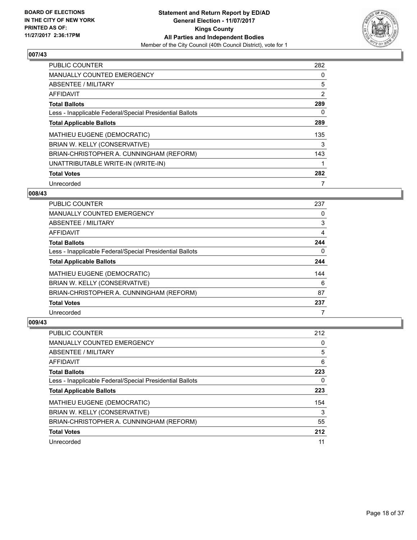

| <b>PUBLIC COUNTER</b>                                    | 282            |
|----------------------------------------------------------|----------------|
| <b>MANUALLY COUNTED EMERGENCY</b>                        | 0              |
| ABSENTEE / MILITARY                                      | 5              |
| AFFIDAVIT                                                | $\overline{2}$ |
| <b>Total Ballots</b>                                     | 289            |
| Less - Inapplicable Federal/Special Presidential Ballots | 0              |
| <b>Total Applicable Ballots</b>                          | 289            |
| <b>MATHIEU EUGENE (DEMOCRATIC)</b>                       | 135            |
| BRIAN W. KELLY (CONSERVATIVE)                            | 3              |
| BRIAN-CHRISTOPHER A. CUNNINGHAM (REFORM)                 | 143            |
| UNATTRIBUTABLE WRITE-IN (WRITE-IN)                       |                |
| <b>Total Votes</b>                                       | 282            |
| Unrecorded                                               | 7              |

#### **008/43**

| <b>PUBLIC COUNTER</b>                                    | 237 |
|----------------------------------------------------------|-----|
| <b>MANUALLY COUNTED EMERGENCY</b>                        | 0   |
| ABSENTEE / MILITARY                                      | 3   |
| AFFIDAVIT                                                | 4   |
| <b>Total Ballots</b>                                     | 244 |
| Less - Inapplicable Federal/Special Presidential Ballots | 0   |
| <b>Total Applicable Ballots</b>                          | 244 |
| <b>MATHIEU EUGENE (DEMOCRATIC)</b>                       | 144 |
| BRIAN W. KELLY (CONSERVATIVE)                            | 6   |
| BRIAN-CHRISTOPHER A. CUNNINGHAM (REFORM)                 | 87  |
| <b>Total Votes</b>                                       | 237 |
| Unrecorded                                               |     |

| <b>PUBLIC COUNTER</b>                                    | 212 |
|----------------------------------------------------------|-----|
| <b>MANUALLY COUNTED EMERGENCY</b>                        | 0   |
| ABSENTEE / MILITARY                                      | 5   |
| AFFIDAVIT                                                | 6   |
| <b>Total Ballots</b>                                     | 223 |
| Less - Inapplicable Federal/Special Presidential Ballots | 0   |
| <b>Total Applicable Ballots</b>                          | 223 |
| <b>MATHIEU EUGENE (DEMOCRATIC)</b>                       | 154 |
| BRIAN W. KELLY (CONSERVATIVE)                            | 3   |
| BRIAN-CHRISTOPHER A. CUNNINGHAM (REFORM)                 | 55  |
| <b>Total Votes</b>                                       | 212 |
| Unrecorded                                               | 11  |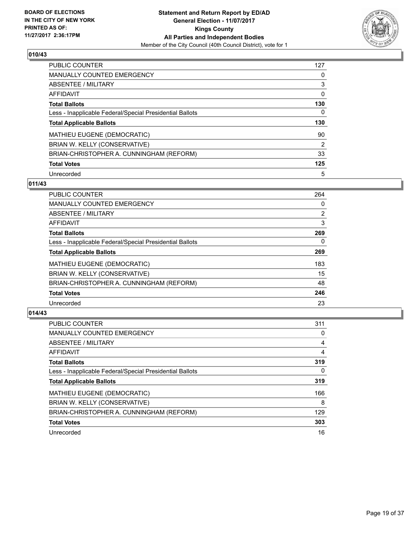

| <b>PUBLIC COUNTER</b>                                    | 127 |
|----------------------------------------------------------|-----|
| MANUALLY COUNTED EMERGENCY                               | 0   |
| ABSENTEE / MILITARY                                      | 3   |
| <b>AFFIDAVIT</b>                                         | 0   |
| <b>Total Ballots</b>                                     | 130 |
| Less - Inapplicable Federal/Special Presidential Ballots | 0   |
|                                                          |     |
| <b>Total Applicable Ballots</b>                          | 130 |
| MATHIEU EUGENE (DEMOCRATIC)                              | 90  |
| BRIAN W. KELLY (CONSERVATIVE)                            | 2   |
| BRIAN-CHRISTOPHER A. CUNNINGHAM (REFORM)                 | 33  |
| <b>Total Votes</b>                                       | 125 |

# **011/43**

| <b>PUBLIC COUNTER</b>                                    | 264 |
|----------------------------------------------------------|-----|
| <b>MANUALLY COUNTED EMERGENCY</b>                        | 0   |
| ABSENTEE / MILITARY                                      | 2   |
| AFFIDAVIT                                                | 3   |
| <b>Total Ballots</b>                                     | 269 |
| Less - Inapplicable Federal/Special Presidential Ballots | 0   |
| <b>Total Applicable Ballots</b>                          | 269 |
| MATHIEU EUGENE (DEMOCRATIC)                              | 183 |
| BRIAN W. KELLY (CONSERVATIVE)                            | 15  |
| BRIAN-CHRISTOPHER A. CUNNINGHAM (REFORM)                 | 48  |
| <b>Total Votes</b>                                       | 246 |
| Unrecorded                                               | 23  |

| <b>PUBLIC COUNTER</b>                                    | 311 |
|----------------------------------------------------------|-----|
| <b>MANUALLY COUNTED EMERGENCY</b>                        | 0   |
| ABSENTEE / MILITARY                                      | 4   |
| <b>AFFIDAVIT</b>                                         | 4   |
| <b>Total Ballots</b>                                     | 319 |
| Less - Inapplicable Federal/Special Presidential Ballots | 0   |
| <b>Total Applicable Ballots</b>                          | 319 |
| MATHIEU EUGENE (DEMOCRATIC)                              | 166 |
| BRIAN W. KELLY (CONSERVATIVE)                            | 8   |
| BRIAN-CHRISTOPHER A. CUNNINGHAM (REFORM)                 | 129 |
| <b>Total Votes</b>                                       | 303 |
| Unrecorded                                               | 16  |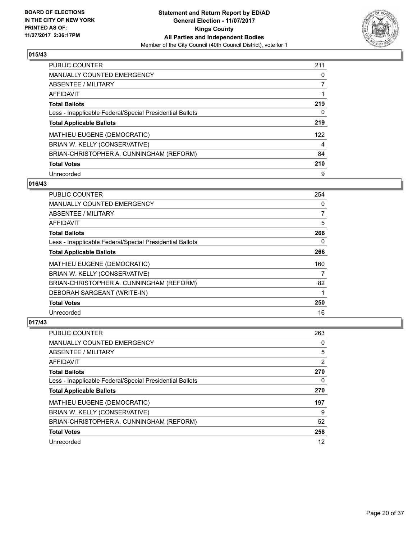

| <b>PUBLIC COUNTER</b>                                    | 211 |
|----------------------------------------------------------|-----|
| <b>MANUALLY COUNTED EMERGENCY</b>                        | 0   |
| ABSENTEE / MILITARY                                      |     |
| <b>AFFIDAVIT</b>                                         |     |
| <b>Total Ballots</b>                                     | 219 |
| Less - Inapplicable Federal/Special Presidential Ballots | 0   |
| <b>Total Applicable Ballots</b>                          | 219 |
| MATHIEU EUGENE (DEMOCRATIC)                              | 122 |
| BRIAN W. KELLY (CONSERVATIVE)                            | 4   |
| BRIAN-CHRISTOPHER A. CUNNINGHAM (REFORM)                 | 84  |
| <b>Total Votes</b>                                       | 210 |
| Unrecorded                                               | 9   |

#### **016/43**

| <b>PUBLIC COUNTER</b>                                    | 254            |
|----------------------------------------------------------|----------------|
| <b>MANUALLY COUNTED EMERGENCY</b>                        | 0              |
| ABSENTEE / MILITARY                                      | $\overline{7}$ |
| AFFIDAVIT                                                | 5              |
| <b>Total Ballots</b>                                     | 266            |
| Less - Inapplicable Federal/Special Presidential Ballots | 0              |
| <b>Total Applicable Ballots</b>                          | 266            |
| MATHIEU EUGENE (DEMOCRATIC)                              | 160            |
| BRIAN W. KELLY (CONSERVATIVE)                            | 7              |
| BRIAN-CHRISTOPHER A. CUNNINGHAM (REFORM)                 | 82             |
| DEBORAH SARGEANT (WRITE-IN)                              |                |
| <b>Total Votes</b>                                       | 250            |
| Unrecorded                                               | 16             |

| <b>PUBLIC COUNTER</b>                                    | 263 |
|----------------------------------------------------------|-----|
| <b>MANUALLY COUNTED EMERGENCY</b>                        | 0   |
| ABSENTEE / MILITARY                                      | 5   |
| AFFIDAVIT                                                | 2   |
| <b>Total Ballots</b>                                     | 270 |
| Less - Inapplicable Federal/Special Presidential Ballots | 0   |
|                                                          | 270 |
| <b>Total Applicable Ballots</b>                          |     |
| MATHIEU EUGENE (DEMOCRATIC)                              | 197 |
| BRIAN W. KELLY (CONSERVATIVE)                            | 9   |
| BRIAN-CHRISTOPHER A. CUNNINGHAM (REFORM)                 | 52  |
| <b>Total Votes</b>                                       | 258 |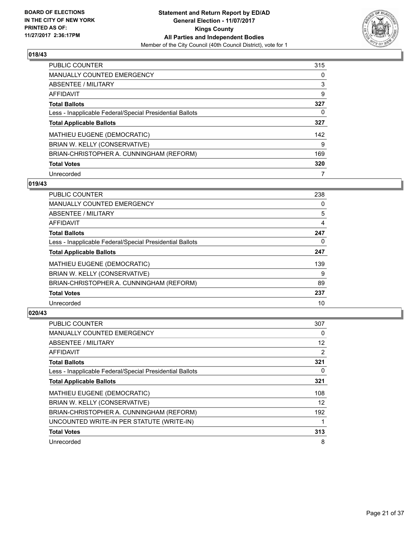

| <b>PUBLIC COUNTER</b>                                    | 315 |
|----------------------------------------------------------|-----|
| <b>MANUALLY COUNTED EMERGENCY</b>                        | 0   |
| ABSENTEE / MILITARY                                      | 3   |
| AFFIDAVIT                                                | 9   |
| <b>Total Ballots</b>                                     | 327 |
| Less - Inapplicable Federal/Special Presidential Ballots | 0   |
| <b>Total Applicable Ballots</b>                          | 327 |
| MATHIEU EUGENE (DEMOCRATIC)                              | 142 |
| BRIAN W. KELLY (CONSERVATIVE)                            | 9   |
| BRIAN-CHRISTOPHER A. CUNNINGHAM (REFORM)                 | 169 |
| <b>Total Votes</b>                                       | 320 |
| Unrecorded                                               |     |

#### **019/43**

| <b>PUBLIC COUNTER</b>                                    | 238 |
|----------------------------------------------------------|-----|
| <b>MANUALLY COUNTED EMERGENCY</b>                        | 0   |
| ABSENTEE / MILITARY                                      | 5   |
| <b>AFFIDAVIT</b>                                         | 4   |
| <b>Total Ballots</b>                                     | 247 |
| Less - Inapplicable Federal/Special Presidential Ballots | 0   |
| <b>Total Applicable Ballots</b>                          | 247 |
| MATHIEU EUGENE (DEMOCRATIC)                              | 139 |
| BRIAN W. KELLY (CONSERVATIVE)                            | 9   |
| BRIAN-CHRISTOPHER A. CUNNINGHAM (REFORM)                 | 89  |
| <b>Total Votes</b>                                       | 237 |
| Unrecorded                                               | 10  |

| <b>PUBLIC COUNTER</b>                                    | 307               |
|----------------------------------------------------------|-------------------|
| <b>MANUALLY COUNTED EMERGENCY</b>                        | 0                 |
| ABSENTEE / MILITARY                                      | $12 \overline{ }$ |
| AFFIDAVIT                                                | 2                 |
| <b>Total Ballots</b>                                     | 321               |
| Less - Inapplicable Federal/Special Presidential Ballots | 0                 |
| <b>Total Applicable Ballots</b>                          | 321               |
| <b>MATHIEU EUGENE (DEMOCRATIC)</b>                       | 108               |
| BRIAN W. KELLY (CONSERVATIVE)                            | 12                |
| BRIAN-CHRISTOPHER A. CUNNINGHAM (REFORM)                 | 192               |
| UNCOUNTED WRITE-IN PER STATUTE (WRITE-IN)                |                   |
| <b>Total Votes</b>                                       | 313               |
| Unrecorded                                               | 8                 |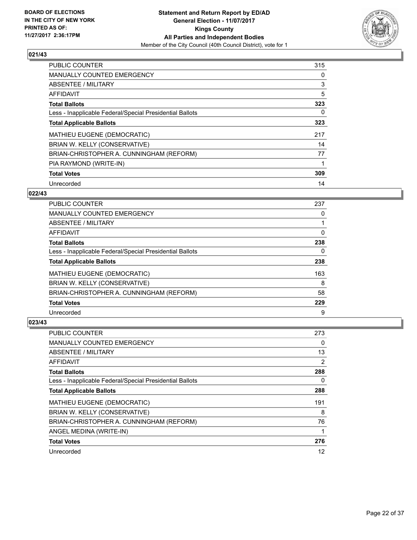

| <b>PUBLIC COUNTER</b>                                    | 315 |
|----------------------------------------------------------|-----|
| <b>MANUALLY COUNTED EMERGENCY</b>                        | 0   |
| ABSENTEE / MILITARY                                      | 3   |
| <b>AFFIDAVIT</b>                                         | 5   |
| <b>Total Ballots</b>                                     | 323 |
| Less - Inapplicable Federal/Special Presidential Ballots | 0   |
| <b>Total Applicable Ballots</b>                          | 323 |
| MATHIEU EUGENE (DEMOCRATIC)                              | 217 |
| BRIAN W. KELLY (CONSERVATIVE)                            | 14  |
| BRIAN-CHRISTOPHER A. CUNNINGHAM (REFORM)                 | 77  |
| PIA RAYMOND (WRITE-IN)                                   |     |
| <b>Total Votes</b>                                       | 309 |
| Unrecorded                                               | 14  |

## **022/43**

| <b>PUBLIC COUNTER</b>                                    | 237 |
|----------------------------------------------------------|-----|
| <b>MANUALLY COUNTED EMERGENCY</b>                        | 0   |
| ABSENTEE / MILITARY                                      |     |
| <b>AFFIDAVIT</b>                                         | 0   |
| <b>Total Ballots</b>                                     | 238 |
| Less - Inapplicable Federal/Special Presidential Ballots | 0   |
| <b>Total Applicable Ballots</b>                          | 238 |
| MATHIEU EUGENE (DEMOCRATIC)                              | 163 |
| BRIAN W. KELLY (CONSERVATIVE)                            | 8   |
| BRIAN-CHRISTOPHER A. CUNNINGHAM (REFORM)                 | 58  |
| <b>Total Votes</b>                                       | 229 |
| Unrecorded                                               | 9   |

| <b>PUBLIC COUNTER</b>                                    | 273            |
|----------------------------------------------------------|----------------|
| <b>MANUALLY COUNTED EMERGENCY</b>                        | 0              |
| ABSENTEE / MILITARY                                      | 13             |
| <b>AFFIDAVIT</b>                                         | $\overline{2}$ |
| <b>Total Ballots</b>                                     | 288            |
| Less - Inapplicable Federal/Special Presidential Ballots | 0              |
| <b>Total Applicable Ballots</b>                          | 288            |
| MATHIEU EUGENE (DEMOCRATIC)                              | 191            |
| BRIAN W. KELLY (CONSERVATIVE)                            | 8              |
| BRIAN-CHRISTOPHER A. CUNNINGHAM (REFORM)                 | 76             |
| ANGEL MEDINA (WRITE-IN)                                  | 1              |
| <b>Total Votes</b>                                       | 276            |
| Unrecorded                                               | 12             |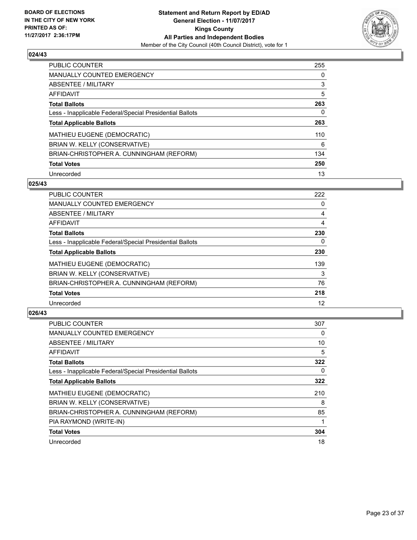

| <b>PUBLIC COUNTER</b>                                    | 255 |
|----------------------------------------------------------|-----|
| MANUALLY COUNTED EMERGENCY                               | 0   |
| ABSENTEE / MILITARY                                      | 3   |
| <b>AFFIDAVIT</b>                                         | 5   |
| <b>Total Ballots</b>                                     | 263 |
| Less - Inapplicable Federal/Special Presidential Ballots | 0   |
| <b>Total Applicable Ballots</b>                          | 263 |
| <b>MATHIEU EUGENE (DEMOCRATIC)</b>                       | 110 |
| BRIAN W. KELLY (CONSERVATIVE)                            | 6   |
| BRIAN-CHRISTOPHER A. CUNNINGHAM (REFORM)                 | 134 |
| <b>Total Votes</b>                                       | 250 |
| Unrecorded                                               | 13  |

#### **025/43**

| <b>PUBLIC COUNTER</b>                                    | 222 |
|----------------------------------------------------------|-----|
| <b>MANUALLY COUNTED EMERGENCY</b>                        | 0   |
| ABSENTEE / MILITARY                                      | 4   |
| <b>AFFIDAVIT</b>                                         | 4   |
| <b>Total Ballots</b>                                     | 230 |
| Less - Inapplicable Federal/Special Presidential Ballots | 0   |
| <b>Total Applicable Ballots</b>                          | 230 |
| MATHIEU EUGENE (DEMOCRATIC)                              | 139 |
| BRIAN W. KELLY (CONSERVATIVE)                            | 3   |
| BRIAN-CHRISTOPHER A. CUNNINGHAM (REFORM)                 | 76  |
| <b>Total Votes</b>                                       | 218 |
| Unrecorded                                               | 12  |

| <b>PUBLIC COUNTER</b>                                    | 307 |
|----------------------------------------------------------|-----|
| <b>MANUALLY COUNTED EMERGENCY</b>                        | 0   |
| ABSENTEE / MILITARY                                      | 10  |
| AFFIDAVIT                                                | 5   |
| <b>Total Ballots</b>                                     | 322 |
| Less - Inapplicable Federal/Special Presidential Ballots | 0   |
| <b>Total Applicable Ballots</b>                          | 322 |
| <b>MATHIEU EUGENE (DEMOCRATIC)</b>                       | 210 |
| BRIAN W. KELLY (CONSERVATIVE)                            | 8   |
| BRIAN-CHRISTOPHER A. CUNNINGHAM (REFORM)                 | 85  |
| PIA RAYMOND (WRITE-IN)                                   |     |
| <b>Total Votes</b>                                       | 304 |
| Unrecorded                                               | 18  |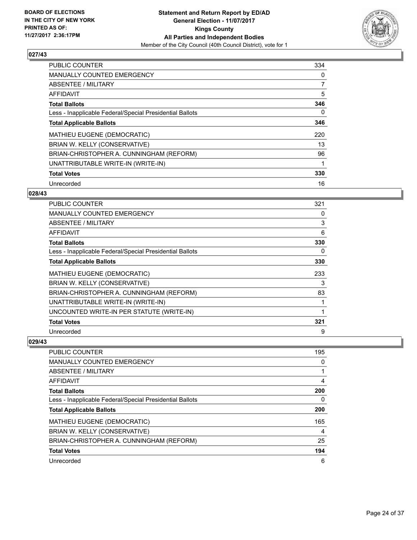

| <b>PUBLIC COUNTER</b>                                    | 334 |
|----------------------------------------------------------|-----|
| <b>MANUALLY COUNTED EMERGENCY</b>                        | 0   |
| ABSENTEE / MILITARY                                      | 7   |
| <b>AFFIDAVIT</b>                                         | 5   |
| <b>Total Ballots</b>                                     | 346 |
| Less - Inapplicable Federal/Special Presidential Ballots | 0   |
| <b>Total Applicable Ballots</b>                          | 346 |
| MATHIEU EUGENE (DEMOCRATIC)                              | 220 |
| BRIAN W. KELLY (CONSERVATIVE)                            | 13  |
| BRIAN-CHRISTOPHER A. CUNNINGHAM (REFORM)                 | 96  |
| UNATTRIBUTABLE WRITE-IN (WRITE-IN)                       | 1   |
| <b>Total Votes</b>                                       | 330 |
| Unrecorded                                               | 16  |

## **028/43**

| <b>PUBLIC COUNTER</b>                                    | 321 |
|----------------------------------------------------------|-----|
| MANUALLY COUNTED EMERGENCY                               | 0   |
| ABSENTEE / MILITARY                                      | 3   |
| <b>AFFIDAVIT</b>                                         | 6   |
| <b>Total Ballots</b>                                     | 330 |
| Less - Inapplicable Federal/Special Presidential Ballots | 0   |
| <b>Total Applicable Ballots</b>                          | 330 |
| MATHIEU EUGENE (DEMOCRATIC)                              | 233 |
| BRIAN W. KELLY (CONSERVATIVE)                            | 3   |
| BRIAN-CHRISTOPHER A. CUNNINGHAM (REFORM)                 | 83  |
| UNATTRIBUTABLE WRITE-IN (WRITE-IN)                       |     |
| UNCOUNTED WRITE-IN PER STATUTE (WRITE-IN)                |     |
| <b>Total Votes</b>                                       | 321 |
| Unrecorded                                               | 9   |

| PUBLIC COUNTER                                           | 195 |
|----------------------------------------------------------|-----|
| <b>MANUALLY COUNTED EMERGENCY</b>                        | 0   |
| ABSENTEE / MILITARY                                      |     |
| AFFIDAVIT                                                | 4   |
| <b>Total Ballots</b>                                     | 200 |
| Less - Inapplicable Federal/Special Presidential Ballots | 0   |
| <b>Total Applicable Ballots</b>                          | 200 |
| <b>MATHIEU EUGENE (DEMOCRATIC)</b>                       | 165 |
| BRIAN W. KELLY (CONSERVATIVE)                            | 4   |
| BRIAN-CHRISTOPHER A. CUNNINGHAM (REFORM)                 | 25  |
| <b>Total Votes</b>                                       | 194 |
| Unrecorded                                               | 6   |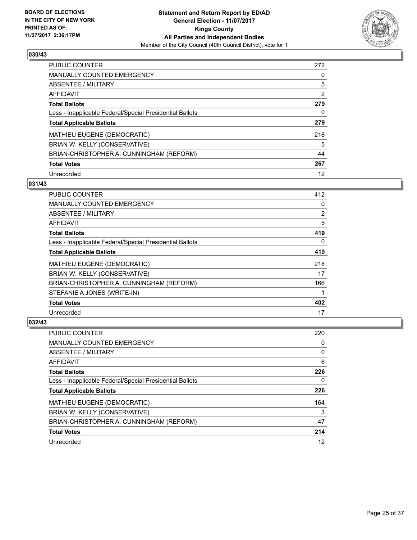

| PUBLIC COUNTER                                           | 272 |
|----------------------------------------------------------|-----|
| <b>MANUALLY COUNTED EMERGENCY</b>                        | 0   |
| ABSENTEE / MILITARY                                      | 5   |
| <b>AFFIDAVIT</b>                                         | 2   |
| <b>Total Ballots</b>                                     | 279 |
| Less - Inapplicable Federal/Special Presidential Ballots | 0   |
| <b>Total Applicable Ballots</b>                          | 279 |
| MATHIEU EUGENE (DEMOCRATIC)                              | 218 |
| BRIAN W. KELLY (CONSERVATIVE)                            | 5   |
| BRIAN-CHRISTOPHER A. CUNNINGHAM (REFORM)                 | 44  |
| <b>Total Votes</b>                                       | 267 |
| Unrecorded                                               | 12  |

#### **031/43**

| <b>PUBLIC COUNTER</b>                                    | 412            |
|----------------------------------------------------------|----------------|
| <b>MANUALLY COUNTED EMERGENCY</b>                        | 0              |
| ABSENTEE / MILITARY                                      | $\overline{2}$ |
| AFFIDAVIT                                                | 5              |
| <b>Total Ballots</b>                                     | 419            |
| Less - Inapplicable Federal/Special Presidential Ballots | 0              |
| <b>Total Applicable Ballots</b>                          | 419            |
| MATHIEU EUGENE (DEMOCRATIC)                              | 218            |
| BRIAN W. KELLY (CONSERVATIVE)                            | 17             |
| BRIAN-CHRISTOPHER A. CUNNINGHAM (REFORM)                 | 166            |
| STEFANIE A JONES (WRITE-IN)                              |                |
| <b>Total Votes</b>                                       | 402            |
| Unrecorded                                               | 17             |

| <b>PUBLIC COUNTER</b>                                    | 220 |
|----------------------------------------------------------|-----|
| <b>MANUALLY COUNTED EMERGENCY</b>                        | 0   |
| ABSENTEE / MILITARY                                      | 0   |
| AFFIDAVIT                                                | 6   |
| <b>Total Ballots</b>                                     | 226 |
| Less - Inapplicable Federal/Special Presidential Ballots | 0   |
| <b>Total Applicable Ballots</b>                          | 226 |
| MATHIEU EUGENE (DEMOCRATIC)                              | 164 |
| BRIAN W. KELLY (CONSERVATIVE)                            | 3   |
| BRIAN-CHRISTOPHER A. CUNNINGHAM (REFORM)                 | 47  |
| <b>Total Votes</b>                                       | 214 |
| Unrecorded                                               | 12  |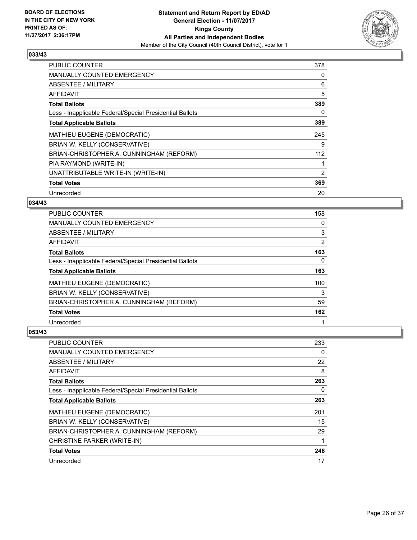

| <b>PUBLIC COUNTER</b>                                    | 378 |
|----------------------------------------------------------|-----|
| <b>MANUALLY COUNTED EMERGENCY</b>                        | 0   |
| <b>ABSENTEE / MILITARY</b>                               | 6   |
| AFFIDAVIT                                                | 5   |
| <b>Total Ballots</b>                                     | 389 |
| Less - Inapplicable Federal/Special Presidential Ballots | 0   |
| <b>Total Applicable Ballots</b>                          | 389 |
| <b>MATHIEU EUGENE (DEMOCRATIC)</b>                       | 245 |
| BRIAN W. KELLY (CONSERVATIVE)                            | 9   |
| BRIAN-CHRISTOPHER A. CUNNINGHAM (REFORM)                 | 112 |
| PIA RAYMOND (WRITE-IN)                                   |     |
| UNATTRIBUTABLE WRITE-IN (WRITE-IN)                       | 2   |
| <b>Total Votes</b>                                       | 369 |
| Unrecorded                                               | 20  |

## **034/43**

| <b>PUBLIC COUNTER</b>                                    | 158 |
|----------------------------------------------------------|-----|
| <b>MANUALLY COUNTED EMERGENCY</b>                        | 0   |
| ABSENTEE / MILITARY                                      | 3   |
| AFFIDAVIT                                                | 2   |
| <b>Total Ballots</b>                                     | 163 |
| Less - Inapplicable Federal/Special Presidential Ballots | 0   |
| <b>Total Applicable Ballots</b>                          | 163 |
| MATHIEU EUGENE (DEMOCRATIC)                              | 100 |
| BRIAN W. KELLY (CONSERVATIVE)                            | 3   |
| BRIAN-CHRISTOPHER A. CUNNINGHAM (REFORM)                 | 59  |
| <b>Total Votes</b>                                       | 162 |
| Unrecorded                                               |     |

| <b>PUBLIC COUNTER</b>                                    | 233 |
|----------------------------------------------------------|-----|
| <b>MANUALLY COUNTED EMERGENCY</b>                        | 0   |
| ABSENTEE / MILITARY                                      | 22  |
| AFFIDAVIT                                                | 8   |
| <b>Total Ballots</b>                                     | 263 |
| Less - Inapplicable Federal/Special Presidential Ballots | 0   |
| <b>Total Applicable Ballots</b>                          | 263 |
| <b>MATHIEU EUGENE (DEMOCRATIC)</b>                       | 201 |
| BRIAN W. KELLY (CONSERVATIVE)                            | 15  |
| BRIAN-CHRISTOPHER A. CUNNINGHAM (REFORM)                 | 29  |
| CHRISTINE PARKER (WRITE-IN)                              | 1   |
| <b>Total Votes</b>                                       | 246 |
| Unrecorded                                               | 17  |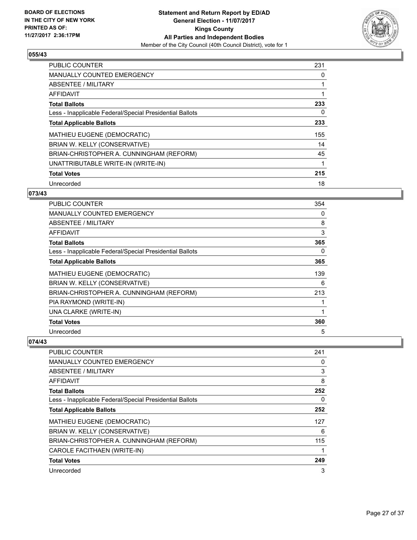

| <b>PUBLIC COUNTER</b>                                    | 231 |
|----------------------------------------------------------|-----|
| <b>MANUALLY COUNTED EMERGENCY</b>                        | 0   |
| ABSENTEE / MILITARY                                      |     |
| AFFIDAVIT                                                |     |
| <b>Total Ballots</b>                                     | 233 |
| Less - Inapplicable Federal/Special Presidential Ballots | 0   |
| <b>Total Applicable Ballots</b>                          | 233 |
| MATHIEU EUGENE (DEMOCRATIC)                              | 155 |
| BRIAN W. KELLY (CONSERVATIVE)                            | 14  |
| BRIAN-CHRISTOPHER A. CUNNINGHAM (REFORM)                 | 45  |
| UNATTRIBUTABLE WRITE-IN (WRITE-IN)                       | 1   |
| <b>Total Votes</b>                                       | 215 |
| Unrecorded                                               | 18  |

# **073/43**

| <b>PUBLIC COUNTER</b>                                    | 354 |
|----------------------------------------------------------|-----|
| <b>MANUALLY COUNTED EMERGENCY</b>                        | 0   |
| ABSENTEE / MILITARY                                      | 8   |
| <b>AFFIDAVIT</b>                                         | 3   |
| <b>Total Ballots</b>                                     | 365 |
| Less - Inapplicable Federal/Special Presidential Ballots | 0   |
| <b>Total Applicable Ballots</b>                          | 365 |
| MATHIEU EUGENE (DEMOCRATIC)                              | 139 |
| BRIAN W. KELLY (CONSERVATIVE)                            | 6   |
| BRIAN-CHRISTOPHER A. CUNNINGHAM (REFORM)                 | 213 |
| PIA RAYMOND (WRITE-IN)                                   | 1   |
| UNA CLARKE (WRITE-IN)                                    | 1   |
| <b>Total Votes</b>                                       | 360 |
| Unrecorded                                               | 5   |

| <b>PUBLIC COUNTER</b>                                    | 241 |
|----------------------------------------------------------|-----|
| <b>MANUALLY COUNTED EMERGENCY</b>                        | 0   |
| ABSENTEE / MILITARY                                      | 3   |
| AFFIDAVIT                                                | 8   |
| <b>Total Ballots</b>                                     | 252 |
| Less - Inapplicable Federal/Special Presidential Ballots | 0   |
| <b>Total Applicable Ballots</b>                          | 252 |
| MATHIEU EUGENE (DEMOCRATIC)                              | 127 |
| BRIAN W. KELLY (CONSERVATIVE)                            | 6   |
| BRIAN-CHRISTOPHER A. CUNNINGHAM (REFORM)                 | 115 |
| CAROLE FACITHAEN (WRITE-IN)                              |     |
| <b>Total Votes</b>                                       | 249 |
| Unrecorded                                               | 3   |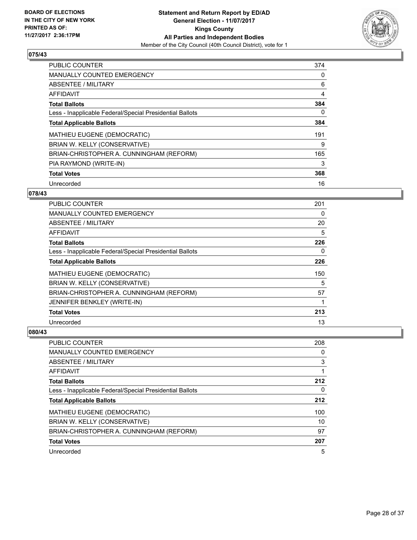

| <b>PUBLIC COUNTER</b>                                    | 374 |
|----------------------------------------------------------|-----|
| <b>MANUALLY COUNTED EMERGENCY</b>                        | 0   |
| ABSENTEE / MILITARY                                      | 6   |
| <b>AFFIDAVIT</b>                                         | 4   |
| <b>Total Ballots</b>                                     | 384 |
| Less - Inapplicable Federal/Special Presidential Ballots | 0   |
| <b>Total Applicable Ballots</b>                          | 384 |
| <b>MATHIEU EUGENE (DEMOCRATIC)</b>                       | 191 |
| BRIAN W. KELLY (CONSERVATIVE)                            | 9   |
| BRIAN-CHRISTOPHER A. CUNNINGHAM (REFORM)                 | 165 |
| PIA RAYMOND (WRITE-IN)                                   | 3   |
| <b>Total Votes</b>                                       | 368 |
| Unrecorded                                               | 16  |

## **078/43**

| <b>PUBLIC COUNTER</b>                                    | 201         |
|----------------------------------------------------------|-------------|
| <b>MANUALLY COUNTED EMERGENCY</b>                        | 0           |
| ABSENTEE / MILITARY                                      | 20          |
| AFFIDAVIT                                                | 5           |
| <b>Total Ballots</b>                                     | 226         |
| Less - Inapplicable Federal/Special Presidential Ballots | 0           |
| <b>Total Applicable Ballots</b>                          | 226         |
| MATHIEU EUGENE (DEMOCRATIC)                              | 150         |
| BRIAN W. KELLY (CONSERVATIVE)                            | 5           |
| BRIAN-CHRISTOPHER A. CUNNINGHAM (REFORM)                 | 57          |
| JENNIFER BENKLEY (WRITE-IN)                              | $\mathbf 1$ |
| <b>Total Votes</b>                                       | 213         |
| Unrecorded                                               | 13          |

| PUBLIC COUNTER                                           | 208 |
|----------------------------------------------------------|-----|
| <b>MANUALLY COUNTED EMERGENCY</b>                        | 0   |
| ABSENTEE / MILITARY                                      | 3   |
| AFFIDAVIT                                                |     |
| <b>Total Ballots</b>                                     | 212 |
| Less - Inapplicable Federal/Special Presidential Ballots | 0   |
| <b>Total Applicable Ballots</b>                          | 212 |
| MATHIEU EUGENE (DEMOCRATIC)                              | 100 |
| BRIAN W. KELLY (CONSERVATIVE)                            | 10  |
| BRIAN-CHRISTOPHER A. CUNNINGHAM (REFORM)                 | 97  |
| <b>Total Votes</b>                                       | 207 |
| Unrecorded                                               | 5   |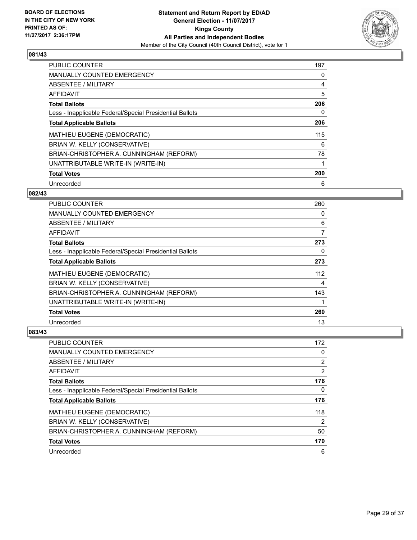

| <b>PUBLIC COUNTER</b>                                    | 197 |
|----------------------------------------------------------|-----|
| <b>MANUALLY COUNTED EMERGENCY</b>                        | 0   |
| ABSENTEE / MILITARY                                      | 4   |
| <b>AFFIDAVIT</b>                                         | 5   |
| <b>Total Ballots</b>                                     | 206 |
| Less - Inapplicable Federal/Special Presidential Ballots | 0   |
| <b>Total Applicable Ballots</b>                          | 206 |
| <b>MATHIEU EUGENE (DEMOCRATIC)</b>                       | 115 |
| BRIAN W. KELLY (CONSERVATIVE)                            | 6   |
| BRIAN-CHRISTOPHER A. CUNNINGHAM (REFORM)                 | 78  |
| UNATTRIBUTABLE WRITE-IN (WRITE-IN)                       | 1   |
| <b>Total Votes</b>                                       | 200 |
| Unrecorded                                               | 6   |

## **082/43**

| <b>PUBLIC COUNTER</b>                                    | 260 |
|----------------------------------------------------------|-----|
| <b>MANUALLY COUNTED EMERGENCY</b>                        | 0   |
| ABSENTEE / MILITARY                                      | 6   |
| AFFIDAVIT                                                | 7   |
| <b>Total Ballots</b>                                     | 273 |
| Less - Inapplicable Federal/Special Presidential Ballots | 0   |
| <b>Total Applicable Ballots</b>                          | 273 |
| <b>MATHIEU EUGENE (DEMOCRATIC)</b>                       | 112 |
| BRIAN W. KELLY (CONSERVATIVE)                            | 4   |
| BRIAN-CHRISTOPHER A. CUNNINGHAM (REFORM)                 | 143 |
| UNATTRIBUTABLE WRITE-IN (WRITE-IN)                       |     |
| <b>Total Votes</b>                                       | 260 |
| Unrecorded                                               | 13  |

| PUBLIC COUNTER                                           | 172 |
|----------------------------------------------------------|-----|
| <b>MANUALLY COUNTED EMERGENCY</b>                        | 0   |
| ABSENTEE / MILITARY                                      | 2   |
| AFFIDAVIT                                                | 2   |
| <b>Total Ballots</b>                                     | 176 |
| Less - Inapplicable Federal/Special Presidential Ballots | 0   |
| <b>Total Applicable Ballots</b>                          | 176 |
| MATHIEU EUGENE (DEMOCRATIC)                              | 118 |
| BRIAN W. KELLY (CONSERVATIVE)                            | 2   |
| BRIAN-CHRISTOPHER A. CUNNINGHAM (REFORM)                 | 50  |
| <b>Total Votes</b>                                       | 170 |
| Unrecorded                                               | 6   |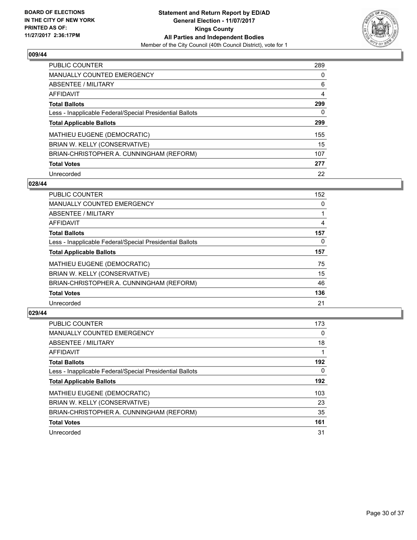

| PUBLIC COUNTER                                           | 289 |
|----------------------------------------------------------|-----|
| <b>MANUALLY COUNTED EMERGENCY</b>                        | 0   |
| ABSENTEE / MILITARY                                      | 6   |
| <b>AFFIDAVIT</b>                                         | 4   |
| <b>Total Ballots</b>                                     | 299 |
| Less - Inapplicable Federal/Special Presidential Ballots | 0   |
| <b>Total Applicable Ballots</b>                          | 299 |
| <b>MATHIEU EUGENE (DEMOCRATIC)</b>                       | 155 |
| BRIAN W. KELLY (CONSERVATIVE)                            | 15  |
| BRIAN-CHRISTOPHER A. CUNNINGHAM (REFORM)                 | 107 |
| <b>Total Votes</b>                                       | 277 |
| Unrecorded                                               | 22  |

#### **028/44**

| <b>PUBLIC COUNTER</b>                                    | 152 |
|----------------------------------------------------------|-----|
| <b>MANUALLY COUNTED EMERGENCY</b>                        | 0   |
| ABSENTEE / MILITARY                                      |     |
| <b>AFFIDAVIT</b>                                         | 4   |
| <b>Total Ballots</b>                                     | 157 |
| Less - Inapplicable Federal/Special Presidential Ballots | 0   |
| <b>Total Applicable Ballots</b>                          | 157 |
| <b>MATHIEU EUGENE (DEMOCRATIC)</b>                       | 75  |
| BRIAN W. KELLY (CONSERVATIVE)                            | 15  |
| BRIAN-CHRISTOPHER A. CUNNINGHAM (REFORM)                 | 46  |
| <b>Total Votes</b>                                       | 136 |
| Unrecorded                                               | 21  |

| <b>PUBLIC COUNTER</b>                                    | 173 |
|----------------------------------------------------------|-----|
| <b>MANUALLY COUNTED EMERGENCY</b>                        | 0   |
| ABSENTEE / MILITARY                                      | 18  |
| AFFIDAVIT                                                |     |
| <b>Total Ballots</b>                                     | 192 |
| Less - Inapplicable Federal/Special Presidential Ballots | 0   |
| <b>Total Applicable Ballots</b>                          | 192 |
| <b>MATHIEU EUGENE (DEMOCRATIC)</b>                       | 103 |
| BRIAN W. KELLY (CONSERVATIVE)                            | 23  |
| BRIAN-CHRISTOPHER A. CUNNINGHAM (REFORM)                 | 35  |
| <b>Total Votes</b>                                       | 161 |
| Unrecorded                                               | 31  |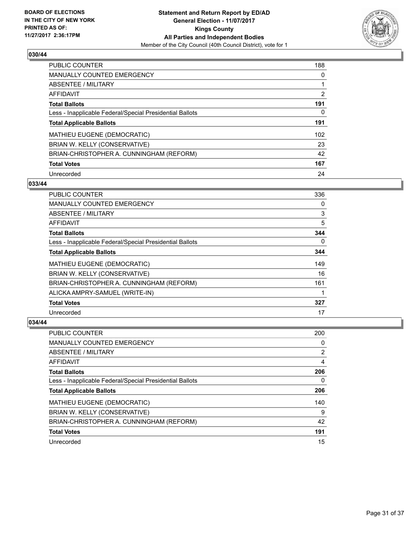

| <b>PUBLIC COUNTER</b>                                    | 188 |
|----------------------------------------------------------|-----|
| <b>MANUALLY COUNTED EMERGENCY</b>                        | 0   |
| ABSENTEE / MILITARY                                      |     |
| AFFIDAVIT                                                | 2   |
| <b>Total Ballots</b>                                     | 191 |
| Less - Inapplicable Federal/Special Presidential Ballots | 0   |
| <b>Total Applicable Ballots</b>                          | 191 |
| <b>MATHIEU EUGENE (DEMOCRATIC)</b>                       | 102 |
| BRIAN W. KELLY (CONSERVATIVE)                            | 23  |
| BRIAN-CHRISTOPHER A. CUNNINGHAM (REFORM)                 | 42  |
| <b>Total Votes</b>                                       | 167 |
| Unrecorded                                               | 24  |

#### **033/44**

| <b>PUBLIC COUNTER</b>                                    | 336 |
|----------------------------------------------------------|-----|
| <b>MANUALLY COUNTED EMERGENCY</b>                        | 0   |
| ABSENTEE / MILITARY                                      | 3   |
| AFFIDAVIT                                                | 5   |
| <b>Total Ballots</b>                                     | 344 |
| Less - Inapplicable Federal/Special Presidential Ballots | 0   |
| <b>Total Applicable Ballots</b>                          | 344 |
| MATHIEU EUGENE (DEMOCRATIC)                              | 149 |
| BRIAN W. KELLY (CONSERVATIVE)                            | 16  |
| BRIAN-CHRISTOPHER A. CUNNINGHAM (REFORM)                 | 161 |
| ALICKA AMPRY-SAMUEL (WRITE-IN)                           |     |
| <b>Total Votes</b>                                       | 327 |
| Unrecorded                                               | 17  |

| PUBLIC COUNTER                                           | 200 |
|----------------------------------------------------------|-----|
| <b>MANUALLY COUNTED EMERGENCY</b>                        | 0   |
| ABSENTEE / MILITARY                                      | 2   |
| AFFIDAVIT                                                | 4   |
| <b>Total Ballots</b>                                     | 206 |
| Less - Inapplicable Federal/Special Presidential Ballots | 0   |
| <b>Total Applicable Ballots</b>                          | 206 |
| MATHIEU EUGENE (DEMOCRATIC)                              | 140 |
| BRIAN W. KELLY (CONSERVATIVE)                            | 9   |
| BRIAN-CHRISTOPHER A. CUNNINGHAM (REFORM)                 | 42  |
| <b>Total Votes</b>                                       | 191 |
| Unrecorded                                               | 15  |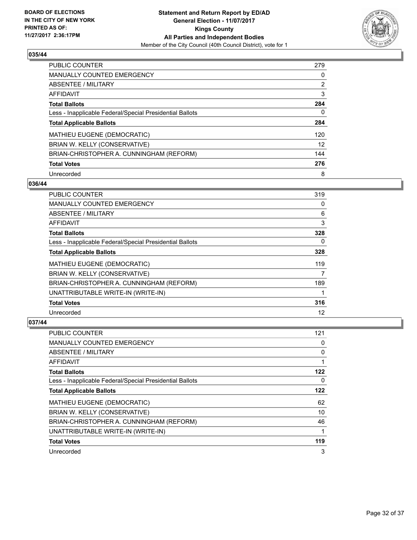

| <b>PUBLIC COUNTER</b>                                    | 279 |
|----------------------------------------------------------|-----|
| <b>MANUALLY COUNTED EMERGENCY</b>                        | 0   |
| ABSENTEE / MILITARY                                      | 2   |
| AFFIDAVIT                                                | 3   |
| <b>Total Ballots</b>                                     | 284 |
| Less - Inapplicable Federal/Special Presidential Ballots | 0   |
| <b>Total Applicable Ballots</b>                          | 284 |
| <b>MATHIEU EUGENE (DEMOCRATIC)</b>                       | 120 |
| BRIAN W. KELLY (CONSERVATIVE)                            | 12  |
| BRIAN-CHRISTOPHER A. CUNNINGHAM (REFORM)                 | 144 |
| <b>Total Votes</b>                                       | 276 |
| Unrecorded                                               | 8   |

#### **036/44**

| <b>PUBLIC COUNTER</b>                                    | 319 |
|----------------------------------------------------------|-----|
| <b>MANUALLY COUNTED EMERGENCY</b>                        | 0   |
| ABSENTEE / MILITARY                                      | 6   |
| AFFIDAVIT                                                | 3   |
| <b>Total Ballots</b>                                     | 328 |
| Less - Inapplicable Federal/Special Presidential Ballots | 0   |
| <b>Total Applicable Ballots</b>                          | 328 |
| <b>MATHIEU EUGENE (DEMOCRATIC)</b>                       | 119 |
| BRIAN W. KELLY (CONSERVATIVE)                            | 7   |
| BRIAN-CHRISTOPHER A. CUNNINGHAM (REFORM)                 | 189 |
| UNATTRIBUTABLE WRITE-IN (WRITE-IN)                       | 1   |
| <b>Total Votes</b>                                       | 316 |
| Unrecorded                                               | 12  |

| <b>PUBLIC COUNTER</b>                                    | 121 |
|----------------------------------------------------------|-----|
| <b>MANUALLY COUNTED EMERGENCY</b>                        | 0   |
| ABSENTEE / MILITARY                                      | 0   |
| AFFIDAVIT                                                |     |
| <b>Total Ballots</b>                                     | 122 |
| Less - Inapplicable Federal/Special Presidential Ballots | 0   |
| <b>Total Applicable Ballots</b>                          | 122 |
| <b>MATHIEU EUGENE (DEMOCRATIC)</b>                       | 62  |
| BRIAN W. KELLY (CONSERVATIVE)                            | 10  |
| BRIAN-CHRISTOPHER A. CUNNINGHAM (REFORM)                 | 46  |
| UNATTRIBUTABLE WRITE-IN (WRITE-IN)                       |     |
| <b>Total Votes</b>                                       | 119 |
| Unrecorded                                               | 3   |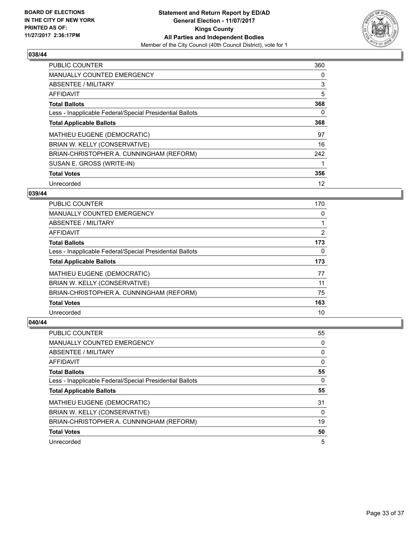

| <b>PUBLIC COUNTER</b>                                    | 360 |
|----------------------------------------------------------|-----|
| <b>MANUALLY COUNTED EMERGENCY</b>                        | 0   |
| ABSENTEE / MILITARY                                      | 3   |
| <b>AFFIDAVIT</b>                                         | 5   |
| <b>Total Ballots</b>                                     | 368 |
| Less - Inapplicable Federal/Special Presidential Ballots | 0   |
| <b>Total Applicable Ballots</b>                          | 368 |
| <b>MATHIEU EUGENE (DEMOCRATIC)</b>                       | 97  |
| BRIAN W. KELLY (CONSERVATIVE)                            | 16  |
| BRIAN-CHRISTOPHER A. CUNNINGHAM (REFORM)                 | 242 |
| SUSAN E. GROSS (WRITE-IN)                                |     |
| <b>Total Votes</b>                                       | 356 |
| Unrecorded                                               | 12  |

## **039/44**

| <b>PUBLIC COUNTER</b>                                    | 170 |
|----------------------------------------------------------|-----|
| <b>MANUALLY COUNTED EMERGENCY</b>                        | 0   |
| ABSENTEE / MILITARY                                      |     |
| <b>AFFIDAVIT</b>                                         | 2   |
| <b>Total Ballots</b>                                     | 173 |
| Less - Inapplicable Federal/Special Presidential Ballots | 0   |
| <b>Total Applicable Ballots</b>                          | 173 |
| MATHIEU EUGENE (DEMOCRATIC)                              | 77  |
| BRIAN W. KELLY (CONSERVATIVE)                            | 11  |
| BRIAN-CHRISTOPHER A. CUNNINGHAM (REFORM)                 | 75  |
| <b>Total Votes</b>                                       | 163 |
| Unrecorded                                               | 10  |

| PUBLIC COUNTER                                           | 55 |
|----------------------------------------------------------|----|
| <b>MANUALLY COUNTED EMERGENCY</b>                        | 0  |
| ABSENTEE / MILITARY                                      | 0  |
| AFFIDAVIT                                                | 0  |
| <b>Total Ballots</b>                                     | 55 |
| Less - Inapplicable Federal/Special Presidential Ballots | 0  |
| <b>Total Applicable Ballots</b>                          | 55 |
|                                                          |    |
| MATHIEU EUGENE (DEMOCRATIC)                              | 31 |
| BRIAN W. KELLY (CONSERVATIVE)                            | 0  |
| BRIAN-CHRISTOPHER A. CUNNINGHAM (REFORM)                 | 19 |
| <b>Total Votes</b>                                       | 50 |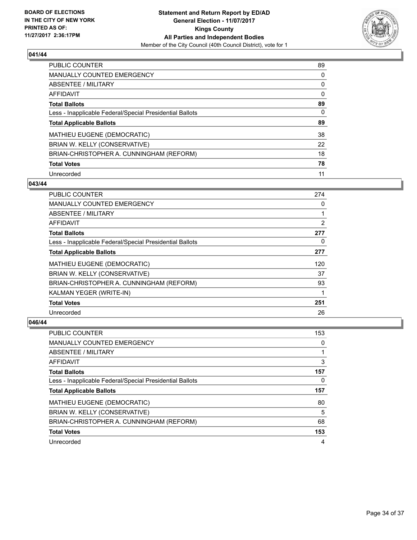

| <b>PUBLIC COUNTER</b>                                    | 89 |
|----------------------------------------------------------|----|
| <b>MANUALLY COUNTED EMERGENCY</b>                        | 0  |
| ABSENTEE / MILITARY                                      | 0  |
| AFFIDAVIT                                                | 0  |
| <b>Total Ballots</b>                                     | 89 |
| Less - Inapplicable Federal/Special Presidential Ballots | 0  |
| <b>Total Applicable Ballots</b>                          | 89 |
| MATHIEU EUGENE (DEMOCRATIC)                              | 38 |
| BRIAN W. KELLY (CONSERVATIVE)                            | 22 |
| BRIAN-CHRISTOPHER A. CUNNINGHAM (REFORM)                 | 18 |
| <b>Total Votes</b>                                       | 78 |
| Unrecorded                                               |    |

#### **043/44**

| <b>PUBLIC COUNTER</b>                                    | 274 |
|----------------------------------------------------------|-----|
| <b>MANUALLY COUNTED EMERGENCY</b>                        | 0   |
| ABSENTEE / MILITARY                                      | 1   |
| AFFIDAVIT                                                | 2   |
| <b>Total Ballots</b>                                     | 277 |
| Less - Inapplicable Federal/Special Presidential Ballots | 0   |
| <b>Total Applicable Ballots</b>                          | 277 |
| MATHIEU EUGENE (DEMOCRATIC)                              | 120 |
| BRIAN W. KELLY (CONSERVATIVE)                            | 37  |
| BRIAN-CHRISTOPHER A. CUNNINGHAM (REFORM)                 | 93  |
| KALMAN YEGER (WRITE-IN)                                  | 1   |
| <b>Total Votes</b>                                       | 251 |
| Unrecorded                                               | 26  |

| <b>PUBLIC COUNTER</b>                                    | 153 |
|----------------------------------------------------------|-----|
| <b>MANUALLY COUNTED EMERGENCY</b>                        | 0   |
| ABSENTEE / MILITARY                                      |     |
| AFFIDAVIT                                                | 3   |
| <b>Total Ballots</b>                                     | 157 |
| Less - Inapplicable Federal/Special Presidential Ballots | 0   |
|                                                          |     |
| <b>Total Applicable Ballots</b>                          | 157 |
| MATHIEU EUGENE (DEMOCRATIC)                              | 80  |
| BRIAN W. KELLY (CONSERVATIVE)                            | 5   |
| BRIAN-CHRISTOPHER A. CUNNINGHAM (REFORM)                 | 68  |
| <b>Total Votes</b>                                       | 153 |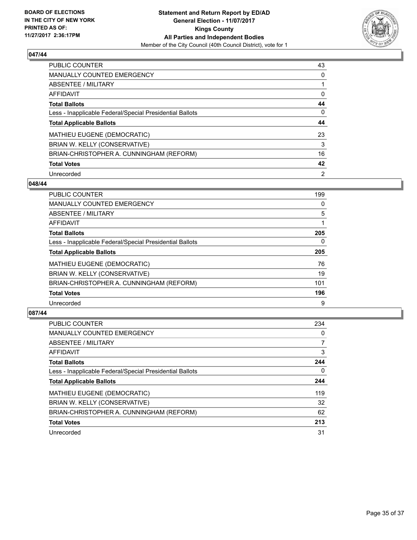

| <b>PUBLIC COUNTER</b>                                    | 43             |
|----------------------------------------------------------|----------------|
| <b>MANUALLY COUNTED EMERGENCY</b>                        | 0              |
| ABSENTEE / MILITARY                                      |                |
| AFFIDAVIT                                                | 0              |
| <b>Total Ballots</b>                                     | 44             |
| Less - Inapplicable Federal/Special Presidential Ballots | 0              |
| <b>Total Applicable Ballots</b>                          | 44             |
| MATHIEU EUGENE (DEMOCRATIC)                              | 23             |
| BRIAN W. KELLY (CONSERVATIVE)                            | 3              |
| BRIAN-CHRISTOPHER A. CUNNINGHAM (REFORM)                 | 16             |
| <b>Total Votes</b>                                       | 42             |
| Unrecorded                                               | $\overline{2}$ |

#### **048/44**

| <b>PUBLIC COUNTER</b>                                    | 199      |
|----------------------------------------------------------|----------|
| MANUALLY COUNTED EMERGENCY                               | 0        |
| ABSENTEE / MILITARY                                      | 5        |
| <b>AFFIDAVIT</b>                                         |          |
| <b>Total Ballots</b>                                     | 205      |
| Less - Inapplicable Federal/Special Presidential Ballots | $\Omega$ |
| <b>Total Applicable Ballots</b>                          | 205      |
| MATHIEU EUGENE (DEMOCRATIC)                              | 76       |
| BRIAN W. KELLY (CONSERVATIVE)                            | 19       |
| BRIAN-CHRISTOPHER A. CUNNINGHAM (REFORM)                 | 101      |
| <b>Total Votes</b>                                       | 196      |
| Unrecorded                                               | 9        |

| <b>PUBLIC COUNTER</b>                                    | 234 |
|----------------------------------------------------------|-----|
| <b>MANUALLY COUNTED EMERGENCY</b>                        | 0   |
| ABSENTEE / MILITARY                                      |     |
| AFFIDAVIT                                                | 3   |
| <b>Total Ballots</b>                                     | 244 |
| Less - Inapplicable Federal/Special Presidential Ballots | 0   |
| <b>Total Applicable Ballots</b>                          | 244 |
| MATHIEU EUGENE (DEMOCRATIC)                              | 119 |
| BRIAN W. KELLY (CONSERVATIVE)                            | 32  |
| BRIAN-CHRISTOPHER A. CUNNINGHAM (REFORM)                 | 62  |
| <b>Total Votes</b>                                       | 213 |
| Unrecorded                                               | 31  |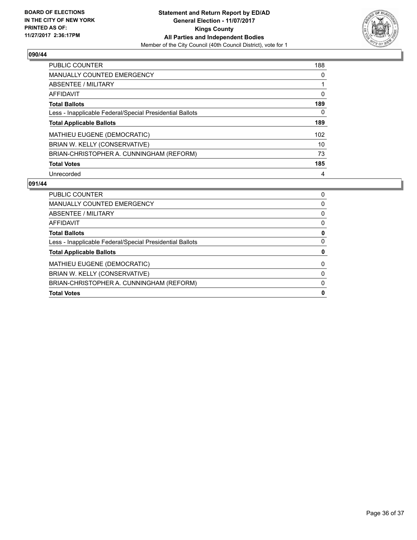

| <b>PUBLIC COUNTER</b>                                    | 188 |
|----------------------------------------------------------|-----|
| <b>MANUALLY COUNTED EMERGENCY</b>                        | 0   |
| ABSENTEE / MILITARY                                      |     |
| <b>AFFIDAVIT</b>                                         | 0   |
| <b>Total Ballots</b>                                     | 189 |
| Less - Inapplicable Federal/Special Presidential Ballots | 0   |
| <b>Total Applicable Ballots</b>                          | 189 |
| <b>MATHIEU EUGENE (DEMOCRATIC)</b>                       | 102 |
| BRIAN W. KELLY (CONSERVATIVE)                            | 10  |
| BRIAN-CHRISTOPHER A. CUNNINGHAM (REFORM)                 | 73  |
| <b>Total Votes</b>                                       | 185 |
| Unrecorded                                               | 4   |

| <b>Total Votes</b>                                       | 0 |
|----------------------------------------------------------|---|
| BRIAN-CHRISTOPHER A. CUNNINGHAM (REFORM)                 | 0 |
| BRIAN W. KELLY (CONSERVATIVE)                            | 0 |
| MATHIEU EUGENE (DEMOCRATIC)                              | 0 |
| <b>Total Applicable Ballots</b>                          | 0 |
| Less - Inapplicable Federal/Special Presidential Ballots | 0 |
| <b>Total Ballots</b>                                     | 0 |
| AFFIDAVIT                                                | 0 |
| ABSENTEE / MILITARY                                      | 0 |
| <b>MANUALLY COUNTED EMERGENCY</b>                        | 0 |
| <b>PUBLIC COUNTER</b>                                    | 0 |